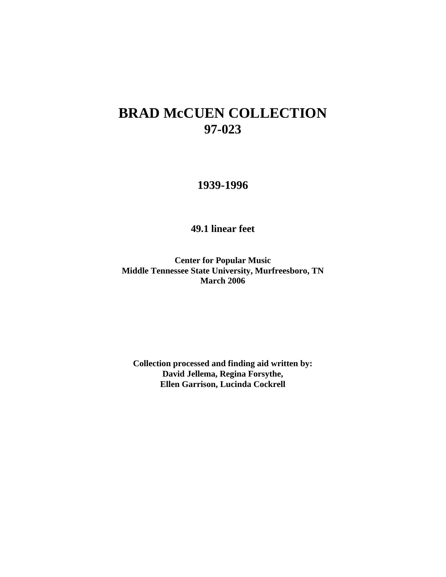# **BRAD McCUEN COLLECTION 97-023**

# **1939-1996**

**49.1 linear feet**

**Center for Popular Music Middle Tennessee State University, Murfreesboro, TN March 2006**

**Collection processed and finding aid written by: David Jellema, Regina Forsythe, Ellen Garrison, Lucinda Cockrell**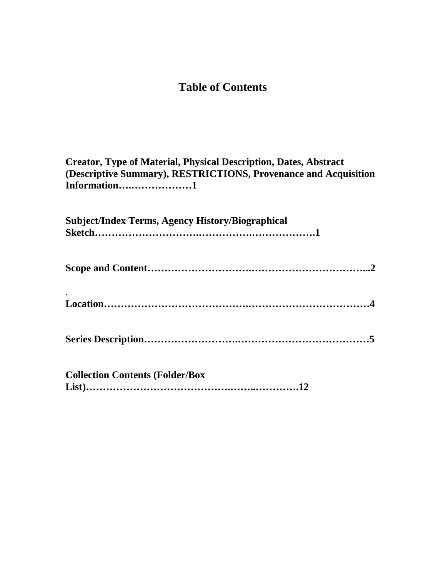# **Table of Contents**

| <b>Creator, Type of Material, Physical Description, Dates, Abstract</b> |  |  |  |  |  |
|-------------------------------------------------------------------------|--|--|--|--|--|
| (Descriptive Summary), RESTRICTIONS, Provenance and Acquisition         |  |  |  |  |  |
| Information1                                                            |  |  |  |  |  |
|                                                                         |  |  |  |  |  |
| <b>Subject/Index Terms, Agency History/Biographical</b>                 |  |  |  |  |  |
|                                                                         |  |  |  |  |  |
|                                                                         |  |  |  |  |  |
|                                                                         |  |  |  |  |  |
|                                                                         |  |  |  |  |  |
|                                                                         |  |  |  |  |  |
|                                                                         |  |  |  |  |  |
|                                                                         |  |  |  |  |  |
|                                                                         |  |  |  |  |  |
| <b>Collection Contents (Folder/Box</b>                                  |  |  |  |  |  |
|                                                                         |  |  |  |  |  |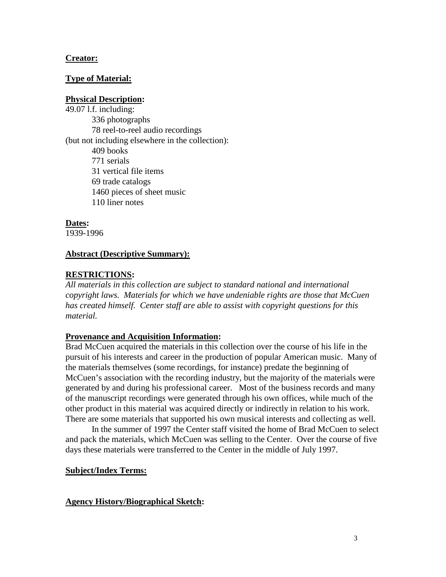# **Creator:**

# **Type of Material:**

# **Physical Description:**

49.07 l.f. including: 336 photographs 78 reel-to-reel audio recordings (but not including elsewhere in the collection): 409 books 771 serials 31 vertical file items 69 trade catalogs 1460 pieces of sheet music 110 liner notes

# **Dates:**

1939-1996

# **Abstract (Descriptive Summary):**

# **RESTRICTIONS:**

*All materials in this collection are subject to standard national and international copyright laws. Materials for which we have undeniable rights are those that McCuen has created himself. Center staff are able to assist with copyright questions for this material.*

# **Provenance and Acquisition Information:**

Brad McCuen acquired the materials in this collection over the course of his life in the pursuit of his interests and career in the production of popular American music. Many of the materials themselves (some recordings, for instance) predate the beginning of McCuen's association with the recording industry, but the majority of the materials were generated by and during his professional career. Most of the business records and many of the manuscript recordings were generated through his own offices, while much of the other product in this material was acquired directly or indirectly in relation to his work. There are some materials that supported his own musical interests and collecting as well.

In the summer of 1997 the Center staff visited the home of Brad McCuen to select and pack the materials, which McCuen was selling to the Center. Over the course of five days these materials were transferred to the Center in the middle of July 1997.

# **Subject/Index Terms:**

# **Agency History/Biographical Sketch:**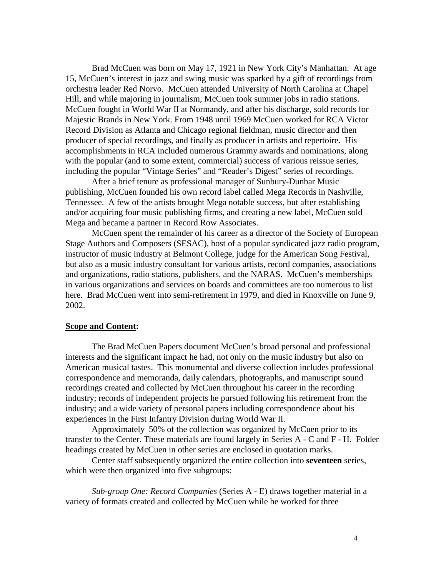Brad McCuen was born on May 17, 1921 in New York City's Manhattan. At age 15, McCuen's interest in jazz and swing music was sparked by a gift of recordings from orchestra leader Red Norvo. McCuen attended University of North Carolina at Chapel Hill, and while majoring in journalism, McCuen took summer jobs in radio stations. McCuen fought in World War II at Normandy, and after his discharge, sold records for Majestic Brands in New York. From 1948 until 1969 McCuen worked for RCA Victor Record Division as Atlanta and Chicago regional fieldman, music director and then producer of special recordings, and finally as producer in artists and repertoire. His accomplishments in RCA included numerous Grammy awards and nominations, along with the popular (and to some extent, commercial) success of various reissue series, including the popular "Vintage Series" and "Reader's Digest" series of recordings.

After a brief tenure as professional manager of Sunbury-Dunbar Music publishing, McCuen founded his own record label called Mega Records in Nashville, Tennessee. A few of the artists brought Mega notable success, but after establishing and/or acquiring four music publishing firms, and creating a new label, McCuen sold Mega and became a partner in Record Row Associates.

McCuen spent the remainder of his career as a director of the Society of European Stage Authors and Composers (SESAC), host of a popular syndicated jazz radio program, instructor of music industry at Belmont College, judge for the American Song Festival, but also as a music industry consultant for various artists, record companies, associations and organizations, radio stations, publishers, and the NARAS. McCuen's memberships in various organizations and services on boards and committees are too numerous to list here. Brad McCuen went into semi-retirement in 1979, and died in Knoxville on June 9, 2002.

#### **Scope and Content:**

The Brad McCuen Papers document McCuen's broad personal and professional interests and the significant impact he had, not only on the music industry but also on American musical tastes. This monumental and diverse collection includes professional correspondence and memoranda, daily calendars, photographs, and manuscript sound recordings created and collected by McCuen throughout his career in the recording industry; records of independent projects he pursued following his retirement from the industry; and a wide variety of personal papers including correspondence about his experiences in the First Infantry Division during World War II.

Approximately 50% of the collection was organized by McCuen prior to its transfer to the Center. These materials are found largely in Series A - C and F - H. Folder headings created by McCuen in other series are enclosed in quotation marks.

Center staff subsequently organized the entire collection into **seventeen** series, which were then organized into five subgroups:

*Sub-group One: Record Companies* (Series A - E) draws together material in a variety of formats created and collected by McCuen while he worked for three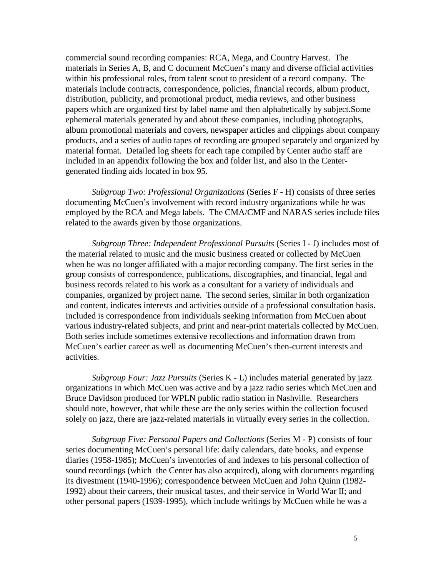commercial sound recording companies: RCA, Mega, and Country Harvest. The materials in Series A, B, and C document McCuen's many and diverse official activities within his professional roles, from talent scout to president of a record company. The materials include contracts, correspondence, policies, financial records, album product, distribution, publicity, and promotional product, media reviews, and other business papers which are organized first by label name and then alphabetically by subject.Some ephemeral materials generated by and about these companies, including photographs, album promotional materials and covers, newspaper articles and clippings about company products, and a series of audio tapes of recording are grouped separately and organized by material format. Detailed log sheets for each tape compiled by Center audio staff are included in an appendix following the box and folder list, and also in the Centergenerated finding aids located in box 95.

*Subgroup Two: Professional Organizations* (Series F - H) consists of three series documenting McCuen's involvement with record industry organizations while he was employed by the RCA and Mega labels. The CMA/CMF and NARAS series include files related to the awards given by those organizations.

*Subgroup Three: Independent Professional Pursuits* (Series I - J) includes most of the material related to music and the music business created or collected by McCuen when he was no longer affiliated with a major recording company. The first series in the group consists of correspondence, publications, discographies, and financial, legal and business records related to his work as a consultant for a variety of individuals and companies, organized by project name. The second series, similar in both organization and content, indicates interests and activities outside of a professional consultation basis. Included is correspondence from individuals seeking information from McCuen about various industry-related subjects, and print and near-print materials collected by McCuen. Both series include sometimes extensive recollections and information drawn from McCuen's earlier career as well as documenting McCuen's then-current interests and activities.

*Subgroup Four: Jazz Pursuits* (Series K - L) includes material generated by jazz organizations in which McCuen was active and by a jazz radio series which McCuen and Bruce Davidson produced for WPLN public radio station in Nashville. Researchers should note, however, that while these are the only series within the collection focused solely on jazz, there are jazz-related materials in virtually every series in the collection.

*Subgroup Five: Personal Papers and Collections* (Series M - P) consists of four series documenting McCuen's personal life: daily calendars, date books, and expense diaries (1958-1985); McCuen's inventories of and indexes to his personal collection of sound recordings (which the Center has also acquired), along with documents regarding its divestment (1940-1996); correspondence between McCuen and John Quinn (1982- 1992) about their careers, their musical tastes, and their service in World War II; and other personal papers (1939-1995), which include writings by McCuen while he was a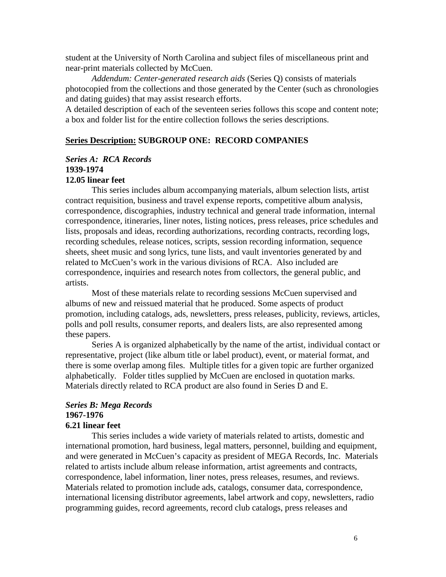student at the University of North Carolina and subject files of miscellaneous print and near-print materials collected by McCuen.

*Addendum: Center-generated research aids* (Series Q) consists of materials photocopied from the collections and those generated by the Center (such as chronologies and dating guides) that may assist research efforts.

A detailed description of each of the seventeen series follows this scope and content note; a box and folder list for the entire collection follows the series descriptions.

### **Series Description: SUBGROUP ONE: RECORD COMPANIES**

#### *Series A: RCA Records* **1939-1974 12.05 linear feet**

This series includes album accompanying materials, album selection lists, artist contract requisition, business and travel expense reports, competitive album analysis, correspondence, discographies, industry technical and general trade information, internal correspondence, itineraries, liner notes, listing notices, press releases, price schedules and lists, proposals and ideas, recording authorizations, recording contracts, recording logs, recording schedules, release notices, scripts, session recording information, sequence sheets, sheet music and song lyrics, tune lists, and vault inventories generated by and related to McCuen's work in the various divisions of RCA. Also included are correspondence, inquiries and research notes from collectors, the general public, and artists.

Most of these materials relate to recording sessions McCuen supervised and albums of new and reissued material that he produced. Some aspects of product promotion, including catalogs, ads, newsletters, press releases, publicity, reviews, articles, polls and poll results, consumer reports, and dealers lists, are also represented among these papers.

Series A is organized alphabetically by the name of the artist, individual contact or representative, project (like album title or label product), event, or material format, and there is some overlap among files. Multiple titles for a given topic are further organized alphabetically. Folder titles supplied by McCuen are enclosed in quotation marks. Materials directly related to RCA product are also found in Series D and E.

### *Series B: Mega Records* **1967-1976 6.21 linear feet**

This series includes a wide variety of materials related to artists, domestic and international promotion, hard business, legal matters, personnel, building and equipment, and were generated in McCuen's capacity as president of MEGA Records, Inc. Materials related to artists include album release information, artist agreements and contracts, correspondence, label information, liner notes, press releases, resumes, and reviews. Materials related to promotion include ads, catalogs, consumer data, correspondence, international licensing distributor agreements, label artwork and copy, newsletters, radio programming guides, record agreements, record club catalogs, press releases and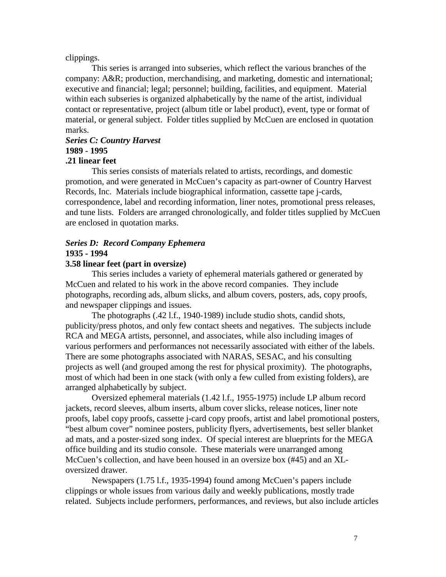#### clippings.

This series is arranged into subseries, which reflect the various branches of the company: A&R; production, merchandising, and marketing, domestic and international; executive and financial; legal; personnel; building, facilities, and equipment. Material within each subseries is organized alphabetically by the name of the artist, individual contact or representative, project (album title or label product), event, type or format of material, or general subject. Folder titles supplied by McCuen are enclosed in quotation marks.

# *Series C: Country Harvest* **1989 - 1995**

# **.21 linear feet**

This series consists of materials related to artists, recordings, and domestic promotion, and were generated in McCuen's capacity as part-owner of Country Harvest Records, Inc. Materials include biographical information, cassette tape j-cards, correspondence, label and recording information, liner notes, promotional press releases, and tune lists. Folders are arranged chronologically, and folder titles supplied by McCuen are enclosed in quotation marks.

# *Series D: Record Company Ephemera* **1935 - 1994**

#### **3.58 linear feet (part in oversize)**

This series includes a variety of ephemeral materials gathered or generated by McCuen and related to his work in the above record companies. They include photographs, recording ads, album slicks, and album covers, posters, ads, copy proofs, and newspaper clippings and issues.

The photographs (.42 l.f., 1940-1989) include studio shots, candid shots, publicity/press photos, and only few contact sheets and negatives. The subjects include RCA and MEGA artists, personnel, and associates, while also including images of various performers and performances not necessarily associated with either of the labels. There are some photographs associated with NARAS, SESAC, and his consulting projects as well (and grouped among the rest for physical proximity). The photographs, most of which had been in one stack (with only a few culled from existing folders), are arranged alphabetically by subject.

Oversized ephemeral materials (1.42 l.f., 1955-1975) include LP album record jackets, record sleeves, album inserts, album cover slicks, release notices, liner note proofs, label copy proofs, cassette j-card copy proofs, artist and label promotional posters, "best album cover" nominee posters, publicity flyers, advertisements, best seller blanket ad mats, and a poster-sized song index. Of special interest are blueprints for the MEGA office building and its studio console. These materials were unarranged among McCuen's collection, and have been housed in an oversize box (#45) and an XLoversized drawer.

Newspapers (1.75 l.f., 1935-1994) found among McCuen's papers include clippings or whole issues from various daily and weekly publications, mostly trade related. Subjects include performers, performances, and reviews, but also include articles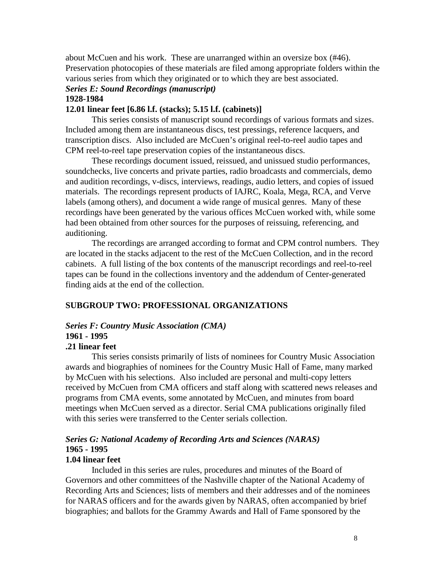about McCuen and his work. These are unarranged within an oversize box (#46). Preservation photocopies of these materials are filed among appropriate folders within the various series from which they originated or to which they are best associated.

#### *Series E: Sound Recordings (manuscript)* **1928-1984**

#### **12.01 linear feet [6.86 l.f. (stacks); 5.15 l.f. (cabinets)]**

This series consists of manuscript sound recordings of various formats and sizes. Included among them are instantaneous discs, test pressings, reference lacquers, and transcription discs. Also included are McCuen's original reel-to-reel audio tapes and CPM reel-to-reel tape preservation copies of the instantaneous discs.

These recordings document issued, reissued, and unissued studio performances, soundchecks, live concerts and private parties, radio broadcasts and commercials, demo and audition recordings, v-discs, interviews, readings, audio letters, and copies of issued materials. The recordings represent products of IAJRC, Koala, Mega, RCA, and Verve labels (among others), and document a wide range of musical genres. Many of these recordings have been generated by the various offices McCuen worked with, while some had been obtained from other sources for the purposes of reissuing, referencing, and auditioning.

The recordings are arranged according to format and CPM control numbers. They are located in the stacks adjacent to the rest of the McCuen Collection, and in the record cabinets. A full listing of the box contents of the manuscript recordings and reel-to-reel tapes can be found in the collections inventory and the addendum of Center-generated finding aids at the end of the collection.

### **SUBGROUP TWO: PROFESSIONAL ORGANIZATIONS**

#### *Series F: Country Music Association (CMA)*

# **1961 - 1995**

# **.21 linear feet**

This series consists primarily of lists of nominees for Country Music Association awards and biographies of nominees for the Country Music Hall of Fame, many marked by McCuen with his selections. Also included are personal and multi-copy letters received by McCuen from CMA officers and staff along with scattered news releases and programs from CMA events, some annotated by McCuen, and minutes from board meetings when McCuen served as a director. Serial CMA publications originally filed with this series were transferred to the Center serials collection.

# *Series G: National Academy of Recording Arts and Sciences (NARAS)* **1965 - 1995**

#### **1.04 linear feet**

Included in this series are rules, procedures and minutes of the Board of Governors and other committees of the Nashville chapter of the National Academy of Recording Arts and Sciences; lists of members and their addresses and of the nominees for NARAS officers and for the awards given by NARAS, often accompanied by brief biographies; and ballots for the Grammy Awards and Hall of Fame sponsored by the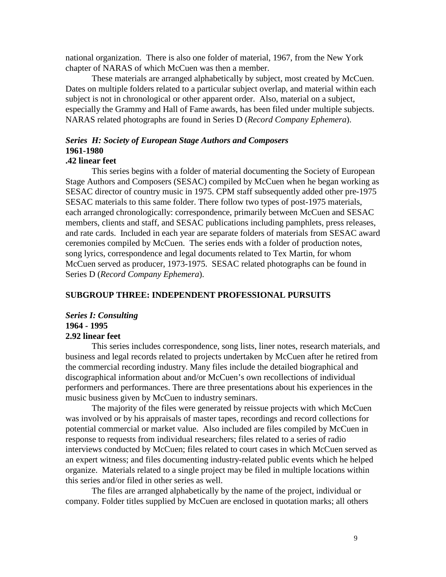national organization. There is also one folder of material, 1967, from the New York chapter of NARAS of which McCuen was then a member.

These materials are arranged alphabetically by subject, most created by McCuen. Dates on multiple folders related to a particular subject overlap, and material within each subject is not in chronological or other apparent order. Also, material on a subject, especially the Grammy and Hall of Fame awards, has been filed under multiple subjects. NARAS related photographs are found in Series D (*Record Company Ephemera*).

# *Series H: Society of European Stage Authors and Composers*  **1961-1980**

# **.42 linear feet**

This series begins with a folder of material documenting the Society of European Stage Authors and Composers (SESAC) compiled by McCuen when he began working as SESAC director of country music in 1975. CPM staff subsequently added other pre-1975 SESAC materials to this same folder. There follow two types of post-1975 materials, each arranged chronologically: correspondence, primarily between McCuen and SESAC members, clients and staff, and SESAC publications including pamphlets, press releases, and rate cards. Included in each year are separate folders of materials from SESAC award ceremonies compiled by McCuen. The series ends with a folder of production notes, song lyrics, correspondence and legal documents related to Tex Martin, for whom McCuen served as producer, 1973-1975. SESAC related photographs can be found in Series D (*Record Company Ephemera*).

#### **SUBGROUP THREE: INDEPENDENT PROFESSIONAL PURSUITS**

### *Series I: Consulting* **1964 - 1995 2.92 linear feet**

This series includes correspondence, song lists, liner notes, research materials, and business and legal records related to projects undertaken by McCuen after he retired from the commercial recording industry. Many files include the detailed biographical and discographical information about and/or McCuen's own recollections of individual performers and performances. There are three presentations about his experiences in the music business given by McCuen to industry seminars.

The majority of the files were generated by reissue projects with which McCuen was involved or by his appraisals of master tapes, recordings and record collections for potential commercial or market value. Also included are files compiled by McCuen in response to requests from individual researchers; files related to a series of radio interviews conducted by McCuen; files related to court cases in which McCuen served as an expert witness; and files documenting industry-related public events which he helped organize. Materials related to a single project may be filed in multiple locations within this series and/or filed in other series as well.

The files are arranged alphabetically by the name of the project, individual or company. Folder titles supplied by McCuen are enclosed in quotation marks; all others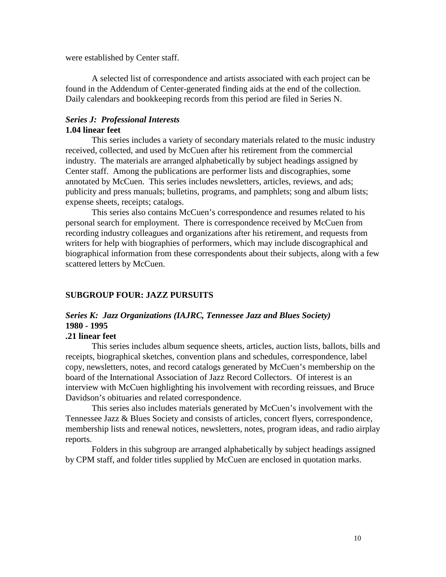were established by Center staff.

A selected list of correspondence and artists associated with each project can be found in the Addendum of Center-generated finding aids at the end of the collection. Daily calendars and bookkeeping records from this period are filed in Series N.

# *Series J: Professional Interests* **1.04 linear feet**

This series includes a variety of secondary materials related to the music industry received, collected, and used by McCuen after his retirement from the commercial industry. The materials are arranged alphabetically by subject headings assigned by Center staff. Among the publications are performer lists and discographies, some annotated by McCuen. This series includes newsletters, articles, reviews, and ads; publicity and press manuals; bulletins, programs, and pamphlets; song and album lists; expense sheets, receipts; catalogs.

This series also contains McCuen's correspondence and resumes related to his personal search for employment. There is correspondence received by McCuen from recording industry colleagues and organizations after his retirement, and requests from writers for help with biographies of performers, which may include discographical and biographical information from these correspondents about their subjects, along with a few scattered letters by McCuen.

#### **SUBGROUP FOUR: JAZZ PURSUITS**

# *Series K: Jazz Organizations (IAJRC, Tennessee Jazz and Blues Society)* **1980 - 1995**

# **.21 linear feet**

This series includes album sequence sheets, articles, auction lists, ballots, bills and receipts, biographical sketches, convention plans and schedules, correspondence, label copy, newsletters, notes, and record catalogs generated by McCuen's membership on the board of the International Association of Jazz Record Collectors. Of interest is an interview with McCuen highlighting his involvement with recording reissues, and Bruce Davidson's obituaries and related correspondence.

This series also includes materials generated by McCuen's involvement with the Tennessee Jazz & Blues Society and consists of articles, concert flyers, correspondence, membership lists and renewal notices, newsletters, notes, program ideas, and radio airplay reports.

Folders in this subgroup are arranged alphabetically by subject headings assigned by CPM staff, and folder titles supplied by McCuen are enclosed in quotation marks.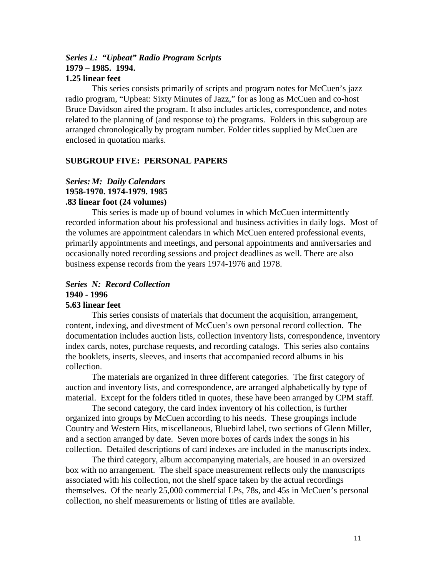#### *Series L: "Upbeat" Radio Program Scripts* **1979 – 1985. 1994. 1.25 linear feet**

This series consists primarily of scripts and program notes for McCuen's jazz radio program, "Upbeat: Sixty Minutes of Jazz," for as long as McCuen and co-host Bruce Davidson aired the program. It also includes articles, correspondence, and notes related to the planning of (and response to) the programs. Folders in this subgroup are arranged chronologically by program number. Folder titles supplied by McCuen are enclosed in quotation marks.

# **SUBGROUP FIVE: PERSONAL PAPERS**

# *Series: M: Daily Calendars* **1958-1970. 1974-1979. 1985 .83 linear foot (24 volumes)**

This series is made up of bound volumes in which McCuen intermittently recorded information about his professional and business activities in daily logs. Most of the volumes are appointment calendars in which McCuen entered professional events, primarily appointments and meetings, and personal appointments and anniversaries and occasionally noted recording sessions and project deadlines as well. There are also business expense records from the years 1974-1976 and 1978.

# *Series N: Record Collection* **1940 - 1996 5.63 linear feet**

This series consists of materials that document the acquisition, arrangement, content, indexing, and divestment of McCuen's own personal record collection. The documentation includes auction lists, collection inventory lists, correspondence, inventory index cards, notes, purchase requests, and recording catalogs. This series also contains the booklets, inserts, sleeves, and inserts that accompanied record albums in his collection.

The materials are organized in three different categories. The first category of auction and inventory lists, and correspondence, are arranged alphabetically by type of material. Except for the folders titled in quotes, these have been arranged by CPM staff.

The second category, the card index inventory of his collection, is further organized into groups by McCuen according to his needs. These groupings include Country and Western Hits, miscellaneous, Bluebird label, two sections of Glenn Miller, and a section arranged by date. Seven more boxes of cards index the songs in his collection. Detailed descriptions of card indexes are included in the manuscripts index.

The third category, album accompanying materials, are housed in an oversized box with no arrangement. The shelf space measurement reflects only the manuscripts associated with his collection, not the shelf space taken by the actual recordings themselves. Of the nearly 25,000 commercial LPs, 78s, and 45s in McCuen's personal collection, no shelf measurements or listing of titles are available.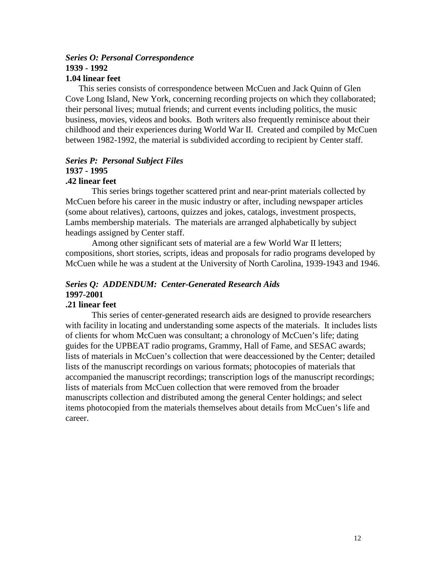# *Series O: Personal Correspondence* **1939 - 1992**

# **1.04 linear feet**

 This series consists of correspondence between McCuen and Jack Quinn of Glen Cove Long Island, New York, concerning recording projects on which they collaborated; their personal lives; mutual friends; and current events including politics, the music business, movies, videos and books. Both writers also frequently reminisce about their childhood and their experiences during World War II. Created and compiled by McCuen between 1982-1992, the material is subdivided according to recipient by Center staff.

### *Series P: Personal Subject Files*  **1937 - 1995 .42 linear feet**

This series brings together scattered print and near-print materials collected by McCuen before his career in the music industry or after, including newspaper articles (some about relatives), cartoons, quizzes and jokes, catalogs, investment prospects, Lambs membership materials. The materials are arranged alphabetically by subject headings assigned by Center staff.

Among other significant sets of material are a few World War II letters; compositions, short stories, scripts, ideas and proposals for radio programs developed by McCuen while he was a student at the University of North Carolina, 1939-1943 and 1946.

# *Series Q: ADDENDUM: Center-Generated Research Aids* **1997-2001**

# **.21 linear feet**

This series of center-generated research aids are designed to provide researchers with facility in locating and understanding some aspects of the materials. It includes lists of clients for whom McCuen was consultant; a chronology of McCuen's life; dating guides for the UPBEAT radio programs, Grammy, Hall of Fame, and SESAC awards; lists of materials in McCuen's collection that were deaccessioned by the Center; detailed lists of the manuscript recordings on various formats; photocopies of materials that accompanied the manuscript recordings; transcription logs of the manuscript recordings; lists of materials from McCuen collection that were removed from the broader manuscripts collection and distributed among the general Center holdings; and select items photocopied from the materials themselves about details from McCuen's life and career.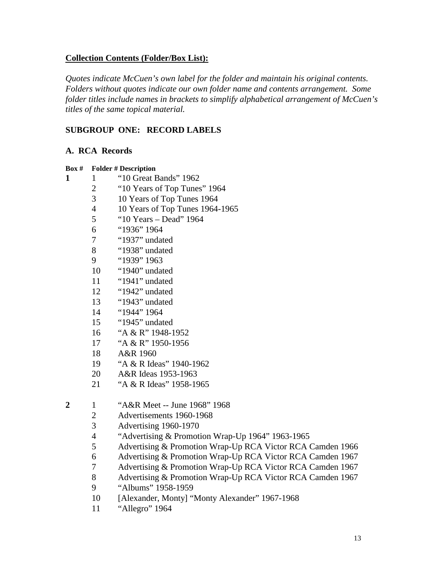# **Collection Contents (Folder/Box List):**

*Quotes indicate McCuen's own label for the folder and maintain his original contents. Folders without quotes indicate our own folder name and contents arrangement. Some folder titles include names in brackets to simplify alphabetical arrangement of McCuen's titles of the same topical material.*

# **SUBGROUP ONE: RECORD LABELS**

# **A. RCA Records**

| Box#             | <b>Folder # Description</b> |                                                            |  |  |  |  |
|------------------|-----------------------------|------------------------------------------------------------|--|--|--|--|
| 1                | 1                           | "10 Great Bands" 1962                                      |  |  |  |  |
|                  | $\overline{2}$              | "10 Years of Top Tunes" 1964                               |  |  |  |  |
|                  | 3                           | 10 Years of Top Tunes 1964                                 |  |  |  |  |
|                  | $\overline{\mathcal{L}}$    | 10 Years of Top Tunes 1964-1965                            |  |  |  |  |
|                  | 5                           | "10 Years - Dead" 1964                                     |  |  |  |  |
|                  | 6                           | "1936" 1964                                                |  |  |  |  |
|                  | 7                           | "1937" undated                                             |  |  |  |  |
|                  | 8                           | "1938" undated                                             |  |  |  |  |
|                  | 9                           | "1939" 1963                                                |  |  |  |  |
|                  | 10                          | "1940" undated                                             |  |  |  |  |
|                  | 11                          | "1941" undated                                             |  |  |  |  |
|                  | 12                          | "1942" undated                                             |  |  |  |  |
|                  | 13                          | "1943" undated                                             |  |  |  |  |
|                  | 14                          | "1944" 1964                                                |  |  |  |  |
|                  | 15                          | "1945" undated                                             |  |  |  |  |
|                  | 16                          | "A & R" 1948-1952                                          |  |  |  |  |
|                  | 17                          | "A & R" 1950-1956                                          |  |  |  |  |
|                  | 18                          | A&R 1960                                                   |  |  |  |  |
|                  | 19                          | "A & R Ideas" 1940-1962                                    |  |  |  |  |
|                  | 20                          | A&R Ideas 1953-1963                                        |  |  |  |  |
|                  | 21                          | "A & R Ideas" 1958-1965                                    |  |  |  |  |
| $\boldsymbol{2}$ | $\mathbf{1}$                | "A&R Meet -- June 1968" 1968                               |  |  |  |  |
|                  | $\overline{2}$              | Advertisements 1960-1968                                   |  |  |  |  |
|                  | 3                           | Advertising 1960-1970                                      |  |  |  |  |
|                  | $\overline{\mathcal{L}}$    | "Advertising & Promotion Wrap-Up 1964" 1963-1965           |  |  |  |  |
|                  | 5                           | Advertising & Promotion Wrap-Up RCA Victor RCA Camden 1966 |  |  |  |  |
|                  | 6                           | Advertising & Promotion Wrap-Up RCA Victor RCA Camden 1967 |  |  |  |  |
|                  | 7                           | Advertising & Promotion Wrap-Up RCA Victor RCA Camden 1967 |  |  |  |  |
|                  | 8                           | Advertising & Promotion Wrap-Up RCA Victor RCA Camden 1967 |  |  |  |  |
|                  | 9                           | "Albums" 1958-1959                                         |  |  |  |  |
|                  | 10                          | [Alexander, Monty] "Monty Alexander" 1967-1968             |  |  |  |  |
|                  | 11                          | "Allegro" 1964                                             |  |  |  |  |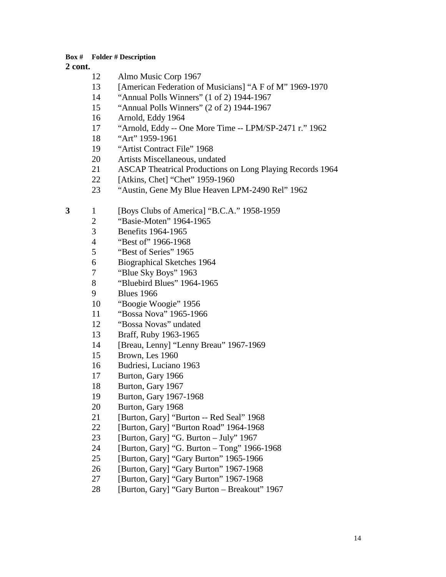- Almo Music Corp 1967
- 13 [American Federation of Musicians] "A F of M" 1969-1970
- "Annual Polls Winners" (1 of 2) 1944-1967
- "Annual Polls Winners" (2 of 2) 1944-1967
- Arnold, Eddy 1964
- "Arnold, Eddy -- One More Time -- LPM/SP-2471 r." 1962
- "Art" 1959-1961
- "Artist Contract File" 1968
- Artists Miscellaneous, undated
- ASCAP Theatrical Productions on Long Playing Records 1964
- [Atkins, Chet] "Chet" 1959-1960
- "Austin, Gene My Blue Heaven LPM-2490 Rel" 1962
- 1 [Boys Clubs of America] "B.C.A." 1958-1959
	- "Basie-Moten" 1964-1965
	- Benefits 1964-1965
	- "Best of" 1966-1968
	- "Best of Series" 1965
	- Biographical Sketches 1964
	- 7 "Blue Sky Boys" 1963<br>8 "Bluebird Blues" 1964
	- "Bluebird Blues" 1964-1965
	- Blues 1966
	- "Boogie Woogie" 1956
	- "Bossa Nova" 1965-1966
	- "Bossa Novas" undated
	- Braff, Ruby 1963-1965
	- [Breau, Lenny] "Lenny Breau" 1967-1969
	- Brown, Les 1960
	- Budriesi, Luciano 1963
	- Burton, Gary 1966
	- Burton, Gary 1967
	- Burton, Gary 1967-1968
	- Burton, Gary 1968
	- [Burton, Gary] "Burton -- Red Seal" 1968
	- [Burton, Gary] "Burton Road" 1964-1968
	- 23 [Burton, Gary] "G. Burton July" 1967
	- [Burton, Gary] "G. Burton Tong" 1966-1968
	- [Burton, Gary] "Gary Burton" 1965-1966
	- [Burton, Gary] "Gary Burton" 1967-1968
	- [Burton, Gary] "Gary Burton" 1967-1968
	- [Burton, Gary] "Gary Burton Breakout" 1967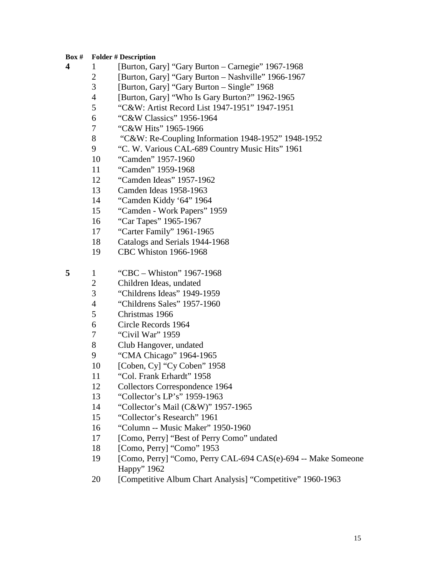- 1 [Burton, Gary] "Gary Burton Carnegie" 1967-1968
	- [Burton, Gary] "Gary Burton Nashville" 1966-1967
	- [Burton, Gary] "Gary Burton Single" 1968
	- [Burton, Gary] "Who Is Gary Burton?" 1962-1965
	- "C&W: Artist Record List 1947-1951" 1947-1951
	- "C&W Classics" 1956-1964
	- "C&W Hits" 1965-1966
	- "C&W: Re-Coupling Information 1948-1952" 1948-1952
	- "C. W. Various CAL-689 Country Music Hits" 1961
	- "Camden" 1957-1960
	- "Camden" 1959-1968
	- "Camden Ideas" 1957-1962
	- Camden Ideas 1958-1963
	- "Camden Kiddy '64" 1964
	- "Camden Work Papers" 1959
	- "Car Tapes" 1965-1967
	- "Carter Family" 1961-1965
	- Catalogs and Serials 1944-1968
	- CBC Whiston 1966-1968
- 1 "CBC Whiston" 1967-1968
	- Children Ideas, undated
	- "Childrens Ideas" 1949-1959
	- "Childrens Sales" 1957-1960
	- Christmas 1966
	- Circle Records 1964
	- "Civil War" 1959
	- Club Hangover, undated
	- "CMA Chicago" 1964-1965
	- [Coben, Cy] "Cy Coben" 1958
	- "Col. Frank Erhardt" 1958
	- Collectors Correspondence 1964
	- "Collector's LP's" 1959-1963
	- "Collector's Mail (C&W)" 1957-1965
	- "Collector's Research" 1961
	- "Column -- Music Maker" 1950-1960
	- 17 [Como, Perry] "Best of Perry Como" undated
	- [Como, Perry] "Como" 1953
	- [Como, Perry] "Como, Perry CAL-694 CAS(e)-694 -- Make Someone Happy" 1962
	- 20 [Competitive Album Chart Analysis] "Competitive" 1960-1963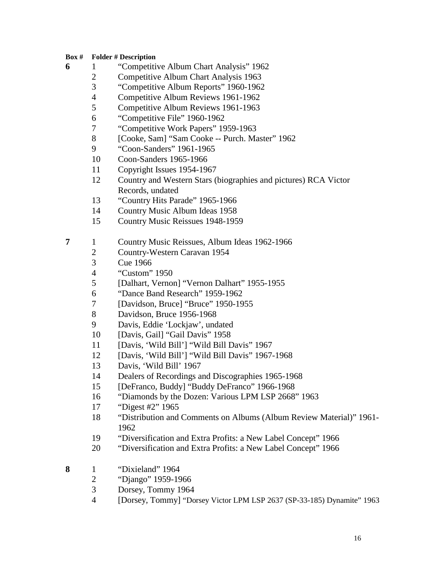- 1 "Competitive Album Chart Analysis" 1962
	- Competitive Album Chart Analysis 1963
	- "Competitive Album Reports" 1960-1962
	- Competitive Album Reviews 1961-1962
	- Competitive Album Reviews 1961-1963
	- "Competitive File" 1960-1962
	- "Competitive Work Papers" 1959-1963
	- 8 [Cooke, Sam] "Sam Cooke -- Purch. Master" 1962
	- "Coon-Sanders" 1961-1965
	- Coon-Sanders 1965-1966
	- Copyright Issues 1954-1967
	- Country and Western Stars (biographies and pictures) RCA Victor Records, undated
	- "Country Hits Parade" 1965-1966
	- Country Music Album Ideas 1958
	- Country Music Reissues 1948-1959
- 1 Country Music Reissues, Album Ideas 1962-1966
	- Country-Western Caravan 1954
	- Cue 1966
	- "Custom" 1950
	- [Dalhart, Vernon] "Vernon Dalhart" 1955-1955
	- "Dance Band Research" 1959-1962
	- 7 [Davidson, Bruce] "Bruce" 1950-1955<br>8 Davidson, Bruce 1956-1968
	- Davidson, Bruce 1956-1968
	- Davis, Eddie 'Lockjaw', undated
	- 10 [Davis, Gail] "Gail Davis" 1958
	- [Davis, 'Wild Bill'] "Wild Bill Davis" 1967
	- 12 [Davis, 'Wild Bill'] "Wild Bill Davis" 1967-1968
	- Davis, 'Wild Bill' 1967
	- Dealers of Recordings and Discographies 1965-1968
	- [DeFranco, Buddy] "Buddy DeFranco" 1966-1968
	- "Diamonds by the Dozen: Various LPM LSP 2668" 1963
	- "Digest #2" 1965
	- "Distribution and Comments on Albums (Album Review Material)" 1961-
	- "Diversification and Extra Profits: a New Label Concept" 1966
	- "Diversification and Extra Profits: a New Label Concept" 1966
- 1 "Dixieland" 1964
	- "Django" 1959-1966
	- Dorsey, Tommy 1964
	- [Dorsey, Tommy] "Dorsey Victor LPM LSP 2637 (SP-33-185) Dynamite" 1963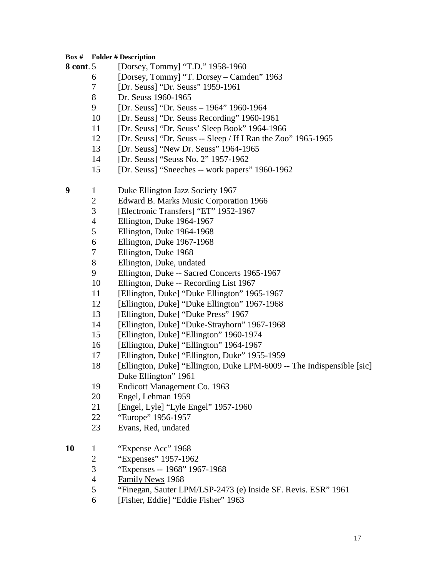- **8 cont**. 5 [Dorsey, Tommy] "T.D." 1958-1960
	- [Dorsey, Tommy] "T. Dorsey Camden" 1963
	- [Dr. Seuss] "Dr. Seuss" 1959-1961
	- Dr. Seuss 1960-1965
	- [Dr. Seuss] "Dr. Seuss 1964" 1960-1964
	- [Dr. Seuss] "Dr. Seuss Recording" 1960-1961
	- [Dr. Seuss] "Dr. Seuss' Sleep Book" 1964-1966
	- [Dr. Seuss] "Dr. Seuss -- Sleep / If I Ran the Zoo" 1965-1965
	- [Dr. Seuss] "New Dr. Seuss" 1964-1965
	- [Dr. Seuss] "Seuss No. 2" 1957-1962
	- [Dr. Seuss] "Sneeches -- work papers" 1960-1962
- 1 Duke Ellington Jazz Society 1967
	- Edward B. Marks Music Corporation 1966
	- 3 [Electronic Transfers] "ET" 1952-1967<br>4 Ellington. Duke 1964-1967
	- Ellington, Duke 1964-1967
	- Ellington, Duke 1964-1968
	- Ellington, Duke 1967-1968
	- Ellington, Duke 1968
	- Ellington, Duke, undated
	- Ellington, Duke -- Sacred Concerts 1965-1967
	- Ellington, Duke -- Recording List 1967
	- [Ellington, Duke] "Duke Ellington" 1965-1967
	- [Ellington, Duke] "Duke Ellington" 1967-1968
	- [Ellington, Duke] "Duke Press" 1967
	- [Ellington, Duke] "Duke-Strayhorn" 1967-1968
	- [Ellington, Duke] "Ellington" 1960-1974
	- [Ellington, Duke] "Ellington" 1964-1967
	- [Ellington, Duke] "Ellington, Duke" 1955-1959
	- [Ellington, Duke] "Ellington, Duke LPM-6009 -- The Indispensible [sic] Duke Ellington" 1961
	- Endicott Management Co. 1963
	- Engel, Lehman 1959
	- [Engel, Lyle] "Lyle Engel" 1957-1960
	- "Europe" 1956-1957
	- Evans, Red, undated
- 1 "Expense Acc" 1968
	- "Expenses" 1957-1962
	- "Expenses -- 1968" 1967-1968
	- Family News 1968
	- "Finegan, Sauter LPM/LSP-2473 (e) Inside SF. Revis. ESR" 1961
	- [Fisher, Eddie] "Eddie Fisher" 1963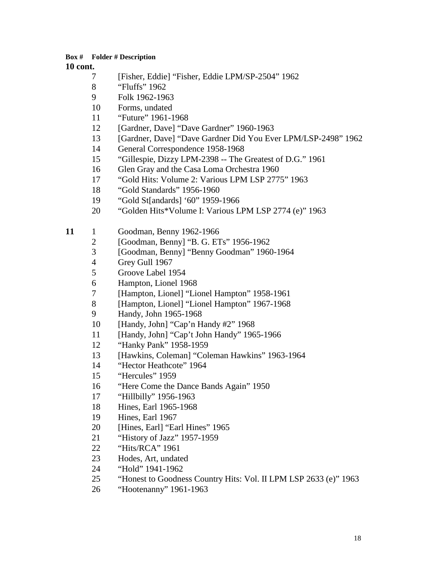- [Fisher, Eddie] "Fisher, Eddie LPM/SP-2504" 1962
- "Fluffs" 1962
- Folk 1962-1963
- Forms, undated
- "Future" 1961-1968
- 12 [Gardner, Dave] "Dave Gardner" 1960-1963
- [Gardner, Dave] "Dave Gardner Did You Ever LPM/LSP-2498" 1962
- General Correspondence 1958-1968
- "Gillespie, Dizzy LPM-2398 -- The Greatest of D.G." 1961
- Glen Gray and the Casa Loma Orchestra 1960
- "Gold Hits: Volume 2: Various LPM LSP 2775" 1963
- "Gold Standards" 1956-1960
- "Gold St[andards] '60" 1959-1966
- "Golden Hits\*Volume I: Various LPM LSP 2774 (e)" 1963
- 11 1 Goodman, Benny 1962-1966
	- [Goodman, Benny] "B. G. ETs" 1956-1962
	- [Goodman, Benny] "Benny Goodman" 1960-1964
	- Grey Gull 1967
	- Groove Label 1954
	- Hampton, Lionel 1968
	- [Hampton, Lionel] "Lionel Hampton" 1958-1961
	- [Hampton, Lionel] "Lionel Hampton" 1967-1968
	- Handy, John 1965-1968
	- [Handy, John] "Cap'n Handy #2" 1968
	- [Handy, John] "Cap't John Handy" 1965-1966
	- "Hanky Pank" 1958-1959
	- [Hawkins, Coleman] "Coleman Hawkins" 1963-1964
	- "Hector Heathcote" 1964
	- "Hercules" 1959
	- "Here Come the Dance Bands Again" 1950
	- "Hillbilly" 1956-1963
	- Hines, Earl 1965-1968
	- Hines, Earl 1967
	- 20 [Hines, Earl] "Earl Hines" 1965
	- "History of Jazz" 1957-1959
	- "Hits/RCA" 1961
	- Hodes, Art, undated
	- "Hold" 1941-1962
	- "Honest to Goodness Country Hits: Vol. II LPM LSP 2633 (e)" 1963
	- "Hootenanny" 1961-1963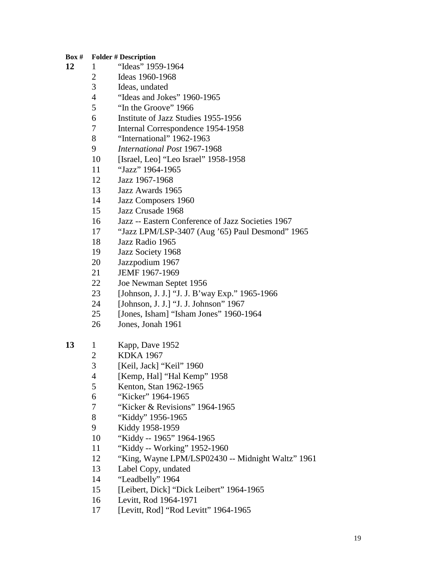- 1 "Ideas" 1959-1964
	- Ideas 1960-1968
	- Ideas, undated
	- "Ideas and Jokes" 1960-1965
	- "In the Groove" 1966
	- Institute of Jazz Studies 1955-1956
	- Internal Correspondence 1954-1958
	- "International" 1962-1963
	- *International Post* 1967-1968
	- [Israel, Leo] "Leo Israel" 1958-1958
	- "Jazz" 1964-1965
	- Jazz 1967-1968
	- Jazz Awards 1965
	- Jazz Composers 1960
	- Jazz Crusade 1968
	- Jazz -- Eastern Conference of Jazz Societies 1967
	- "Jazz LPM/LSP-3407 (Aug '65) Paul Desmond" 1965
	- Jazz Radio 1965
	- Jazz Society 1968
	- Jazzpodium 1967
	- JEMF 1967-1969
	- Joe Newman Septet 1956
	- [Johnson, J. J.] "J. J. B'way Exp." 1965-1966
	- [Johnson, J. J.] "J. J. Johnson" 1967
	- [Jones, Isham] "Isham Jones" 1960-1964
	- Jones, Jonah 1961

# 1 Kapp, Dave 1952

- KDKA 1967
- [Keil, Jack] "Keil" 1960
- [Kemp, Hal] "Hal Kemp" 1958
- Kenton, Stan 1962-1965
- "Kicker" 1964-1965
- "Kicker & Revisions" 1964-1965
- "Kiddy" 1956-1965
- Kiddy 1958-1959
- "Kiddy -- 1965" 1964-1965
- "Kiddy -- Working" 1952-1960
- "King, Wayne LPM/LSP02430 -- Midnight Waltz" 1961
- Label Copy, undated
- "Leadbelly" 1964
- [Leibert, Dick] "Dick Leibert" 1964-1965
- Levitt, Rod 1964-1971
- [Levitt, Rod] "Rod Levitt" 1964-1965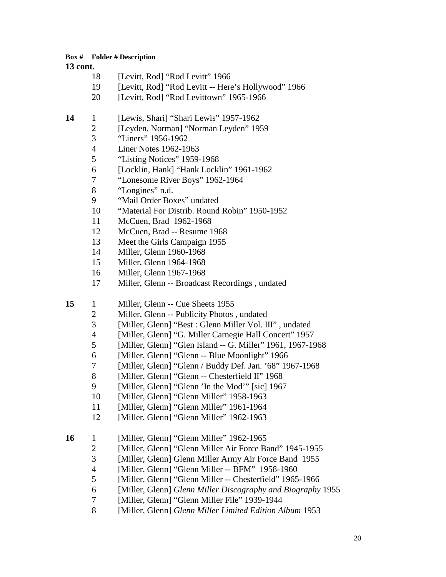- 18 [Levitt, Rod] "Rod Levitt" 1966
- [Levitt, Rod] "Rod Levitt -- Here's Hollywood" 1966
- 20 [Levitt, Rod] "Rod Levittown" 1965-1966
- 1 [Lewis, Shari] "Shari Lewis" 1957-1962
	- [Leyden, Norman] "Norman Leyden" 1959
		- "Liners" 1956-1962
		- Liner Notes 1962-1963
		- "Listing Notices" 1959-1968
		- [Locklin, Hank] "Hank Locklin" 1961-1962
		- "Lonesome River Boys" 1962-1964
		- "Longines" n.d.
		- "Mail Order Boxes" undated
		- "Material For Distrib. Round Robin" 1950-1952
		- McCuen, Brad 1962-1968
		- McCuen, Brad -- Resume 1968
		- Meet the Girls Campaign 1955
		- Miller, Glenn 1960-1968
		- Miller, Glenn 1964-1968
		- Miller, Glenn 1967-1968
		- Miller, Glenn -- Broadcast Recordings , undated
- 15 1 Miller, Glenn -- Cue Sheets 1955
	- Miller, Glenn -- Publicity Photos , undated
	- [Miller, Glenn] "Best : Glenn Miller Vol. III" , undated
	- [Miller, Glenn] "G. Miller Carnegie Hall Concert" 1957
	- [Miller, Glenn] "Glen Island -- G. Miller" 1961, 1967-1968
	- [Miller, Glenn] "Glenn -- Blue Moonlight" 1966
	- [Miller, Glenn] "Glenn / Buddy Def. Jan. '68" 1967-1968
	- 8 [Miller, Glenn] "Glenn -- Chesterfield II" 1968
	- 9 [Miller, Glenn] "Glenn 'In the Mod'" [sic] 1967
	- [Miller, Glenn] "Glenn Miller" 1958-1963
	- [Miller, Glenn] "Glenn Miller" 1961-1964
	- 12 [Miller, Glenn] "Glenn Miller" 1962-1963
- 16 1 [Miller, Glenn] "Glenn Miller" 1962-1965
	- 2 [Miller, Glenn] "Glenn Miller Air Force Band" 1945-1955
	- [Miller, Glenn] Glenn Miller Army Air Force Band 1955
	- [Miller, Glenn] "Glenn Miller -- BFM" 1958-1960
	- [Miller, Glenn] "Glenn Miller -- Chesterfield" 1965-1966
	- [Miller, Glenn] *Glenn Miller Discography and Biography* 1955
	- [Miller, Glenn] "Glenn Miller File" 1939-1944
	- [Miller, Glenn] *Glenn Miller Limited Edition Album* 1953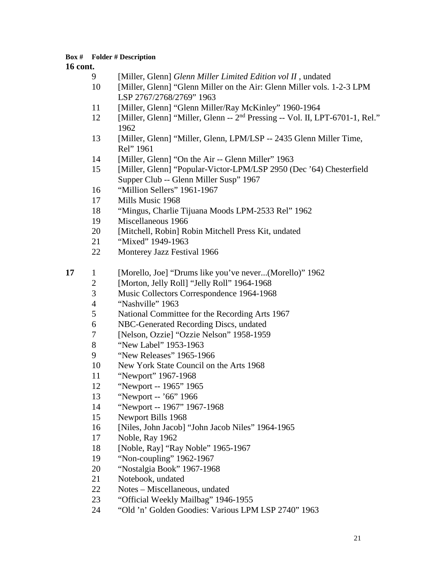- [Miller, Glenn] *Glenn Miller Limited Edition vol II* , undated
- [Miller, Glenn] "Glenn Miller on the Air: Glenn Miller vols. 1-2-3 LPM LSP 2767/2768/2769" 1963
- [Miller, Glenn] "Glenn Miller/Ray McKinley" 1960-1964
- 12 [Miller, Glenn] "Miller, Glenn -- 2<sup>nd</sup> Pressing -- Vol. II, LPT-6701-1, Rel."
- [Miller, Glenn] "Miller, Glenn, LPM/LSP -- 2435 Glenn Miller Time, Rel" 1961
- [Miller, Glenn] "On the Air -- Glenn Miller" 1963
- [Miller, Glenn] "Popular-Victor-LPM/LSP 2950 (Dec '64) Chesterfield Supper Club -- Glenn Miller Susp" 1967
- "Million Sellers" 1961-1967
- Mills Music 1968
- "Mingus, Charlie Tijuana Moods LPM-2533 Rel" 1962
- Miscellaneous 1966
- [Mitchell, Robin] Robin Mitchell Press Kit, undated
- "Mixed" 1949-1963
- Monterey Jazz Festival 1966
- 1 [Morello, Joe] "Drums like you've never...(Morello)" 1962
	- 2 [Morton, Jelly Roll] "Jelly Roll" 1964-1968<br>3 Music Collectors Correspondence 1964-1968
	- Music Collectors Correspondence 1964-1968
	- "Nashville" 1963
	- National Committee for the Recording Arts 1967
	- NBC-Generated Recording Discs, undated
	- [Nelson, Ozzie] "Ozzie Nelson" 1958-1959
	- "New Label" 1953-1963
	- "New Releases" 1965-1966
	- New York State Council on the Arts 1968
	- "Newport" 1967-1968
	- "Newport -- 1965" 1965
	- "Newport -- '66" 1966
	- "Newport -- 1967" 1967-1968
	- Newport Bills 1968
	- [Niles, John Jacob] "John Jacob Niles" 1964-1965
	- Noble, Ray 1962
	- [Noble, Ray] "Ray Noble" 1965-1967
	- "Non-coupling" 1962-1967
	- "Nostalgia Book" 1967-1968
	- Notebook, undated
	- Notes Miscellaneous, undated
	- "Official Weekly Mailbag" 1946-1955
	- "Old 'n' Golden Goodies: Various LPM LSP 2740" 1963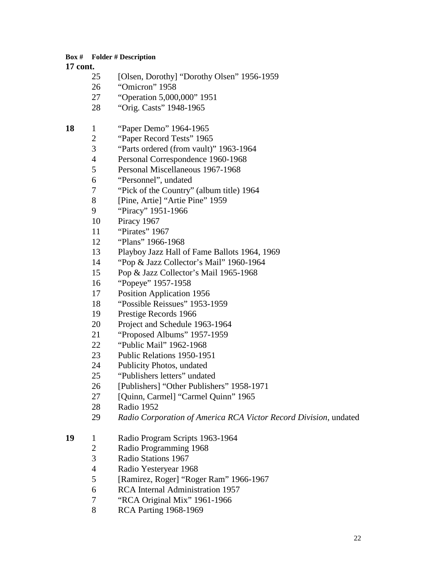#### **17 cont.**

- [Olsen, Dorothy] "Dorothy Olsen" 1956-1959
- "Omicron" 1958
- "Operation 5,000,000" 1951
- "Orig. Casts" 1948-1965

# 1 "Paper Demo" 1964-1965

- "Paper Record Tests" 1965
- "Parts ordered (from vault)" 1963-1964
- Personal Correspondence 1960-1968
- Personal Miscellaneous 1967-1968
- "Personnel", undated
- "Pick of the Country" (album title) 1964
- [Pine, Artie] "Artie Pine" 1959
- "Piracy" 1951-1966
- Piracy 1967
- "Pirates" 1967
- "Plans" 1966-1968
- Playboy Jazz Hall of Fame Ballots 1964, 1969
- "Pop & Jazz Collector's Mail" 1960-1964
- Pop & Jazz Collector's Mail 1965-1968
- "Popeye" 1957-1958
- Position Application 1956
- "Possible Reissues" 1953-1959
- Prestige Records 1966
- Project and Schedule 1963-1964
- "Proposed Albums" 1957-1959
- "Public Mail" 1962-1968
- Public Relations 1950-1951
- Publicity Photos, undated
- "Publishers letters" undated
- [Publishers] "Other Publishers" 1958-1971
- 27 [Quinn, Carmel] "Carmel Quinn" 1965
- Radio 1952
- *Radio Corporation of America RCA Victor Record Division*, undated
- 1 Radio Program Scripts 1963-1964
	- Radio Programming 1968
	- Radio Stations 1967
	- Radio Yesteryear 1968
	- [Ramirez, Roger] "Roger Ram" 1966-1967
	- RCA Internal Administration 1957
	- "RCA Original Mix" 1961-1966
	- RCA Parting 1968-1969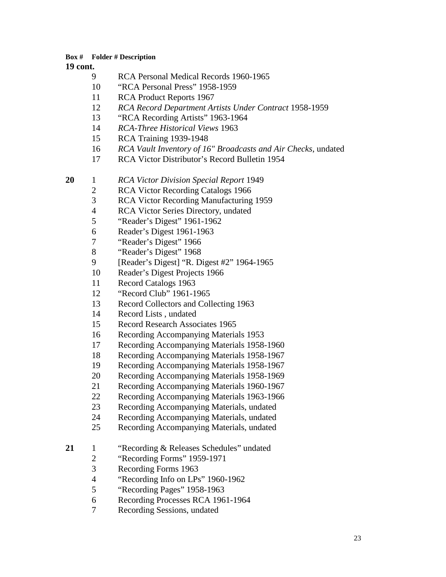#### **cont.**

- RCA Personal Medical Records 1960-1965
- "RCA Personal Press" 1958-1959
- RCA Product Reports 1967
- *RCA Record Department Artists Under Contract* 1958-1959
- "RCA Recording Artists" 1963-1964
- *RCA-Three Historical Views* 1963
- RCA Training 1939-1948
- *RCA Vault Inventory of 16" Broadcasts and Air Checks*, undated
- RCA Victor Distributor's Record Bulletin 1954

1 *RCA Victor Division Special Report* 1949

- RCA Victor Recording Catalogs 1966
- RCA Victor Recording Manufacturing 1959
- RCA Victor Series Directory, undated
- "Reader's Digest" 1961-1962
- Reader's Digest 1961-1963
- "Reader's Digest" 1966
- "Reader's Digest" 1968
- [Reader's Digest] "R. Digest #2" 1964-1965
- Reader's Digest Projects 1966
- Record Catalogs 1963
- "Record Club" 1961-1965
- Record Collectors and Collecting 1963
- Record Lists , undated
- Record Research Associates 1965
- Recording Accompanying Materials 1953
- Recording Accompanying Materials 1958-1960
- Recording Accompanying Materials 1958-1967
- Recording Accompanying Materials 1958-1967
- Recording Accompanying Materials 1958-1969
- Recording Accompanying Materials 1960-1967
- Recording Accompanying Materials 1963-1966
- Recording Accompanying Materials, undated
- Recording Accompanying Materials, undated
- Recording Accompanying Materials, undated
- 1 "Recording & Releases Schedules" undated
	- "Recording Forms" 1959-1971
	- Recording Forms 1963
	- 4 "Recording Info on LPs" 1960-1962<br>5 "Recording Pages" 1958-1963
	- "Recording Pages" 1958-1963
	- Recording Processes RCA 1961-1964
	- Recording Sessions, undated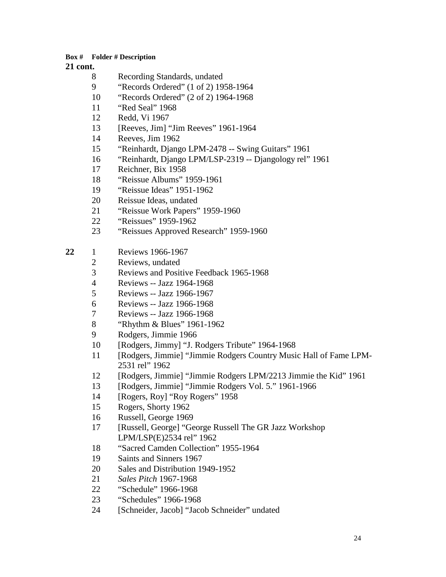- Recording Standards, undated
- "Records Ordered" (1 of 2) 1958-1964
- "Records Ordered" (2 of 2) 1964-1968
- "Red Seal" 1968
- Redd, Vi 1967
- [Reeves, Jim] "Jim Reeves" 1961-1964
- Reeves, Jim 1962
- "Reinhardt, Django LPM-2478 -- Swing Guitars" 1961
- "Reinhardt, Django LPM/LSP-2319 -- Djangology rel" 1961
- Reichner, Bix 1958
- "Reissue Albums" 1959-1961
- "Reissue Ideas" 1951-1962
- Reissue Ideas, undated
- "Reissue Work Papers" 1959-1960
- "Reissues" 1959-1962
- "Reissues Approved Research" 1959-1960
- 1 Reviews 1966-1967
	- Reviews, undated
	- Reviews and Positive Feedback 1965-1968
	- Reviews -- Jazz 1964-1968
	- Reviews -- Jazz 1966-1967
	- Reviews -- Jazz 1966-1968
	- Reviews -- Jazz 1966-1968
	- "Rhythm & Blues" 1961-1962
	- Rodgers, Jimmie 1966
	- [Rodgers, Jimmy] "J. Rodgers Tribute" 1964-1968
	- [Rodgers, Jimmie] "Jimmie Rodgers Country Music Hall of Fame LPM-2531 rel" 1962
	- [Rodgers, Jimmie] "Jimmie Rodgers LPM/2213 Jimmie the Kid" 1961
	- [Rodgers, Jimmie] "Jimmie Rodgers Vol. 5." 1961-1966
	- [Rogers, Roy] "Roy Rogers" 1958
	- Rogers, Shorty 1962
	- Russell, George 1969
	- [Russell, George] "George Russell The GR Jazz Workshop LPM/LSP(E)2534 rel" 1962
	- "Sacred Camden Collection" 1955-1964
	- Saints and Sinners 1967
	- Sales and Distribution 1949-1952
	- *Sales Pitch* 1967-1968
	- "Schedule" 1966-1968
	- "Schedules" 1966-1968
	- [Schneider, Jacob] "Jacob Schneider" undated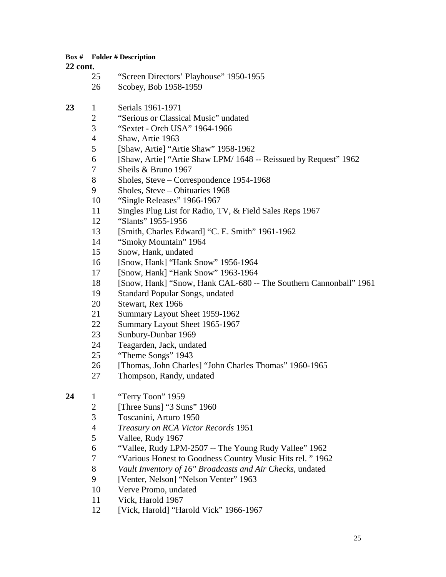| 25 | "Screen Directors' Playhouse" 1950-1955 |
|----|-----------------------------------------|
| 26 | Scobey, Bob 1958-1959                   |

- 1 Serials 1961-1971
	- "Serious or Classical Music" undated
	- "Sextet Orch USA" 1964-1966
	- Shaw, Artie 1963
	- [Shaw, Artie] "Artie Shaw" 1958-1962
	- [Shaw, Artie] "Artie Shaw LPM/ 1648 -- Reissued by Request" 1962
	- Sheils & Bruno 1967
	- Sholes, Steve Correspondence 1954-1968
	- Sholes, Steve Obituaries 1968
	- "Single Releases" 1966-1967
	- Singles Plug List for Radio, TV, & Field Sales Reps 1967
	- "Slants" 1955-1956
	- [Smith, Charles Edward] "C. E. Smith" 1961-1962
	- "Smoky Mountain" 1964
	- Snow, Hank, undated
	- [Snow, Hank] "Hank Snow" 1956-1964
	- [Snow, Hank] "Hank Snow" 1963-1964
	- [Snow, Hank] "Snow, Hank CAL-680 -- The Southern Cannonball" 1961
	- Standard Popular Songs, undated
	- Stewart, Rex 1966
	- Summary Layout Sheet 1959-1962
	- Summary Layout Sheet 1965-1967
	- Sunbury-Dunbar 1969
	- Teagarden, Jack, undated
	- "Theme Songs" 1943
	- [Thomas, John Charles] "John Charles Thomas" 1960-1965
	- Thompson, Randy, undated
- 1 "Terry Toon" 1959
	- [Three Suns] "3 Suns" 1960
	- Toscanini, Arturo 1950
	- *Treasury on RCA Victor Records* 1951
	- Vallee, Rudy 1967
	- "Vallee, Rudy LPM-2507 -- The Young Rudy Vallee" 1962
	- "Various Honest to Goodness Country Music Hits rel. " 1962
	- *Vault Inventory of 16" Broadcasts and Air Checks*, undated
	- [Venter, Nelson] "Nelson Venter" 1963
	- Verve Promo, undated
	- Vick, Harold 1967
	- [Vick, Harold] "Harold Vick" 1966-1967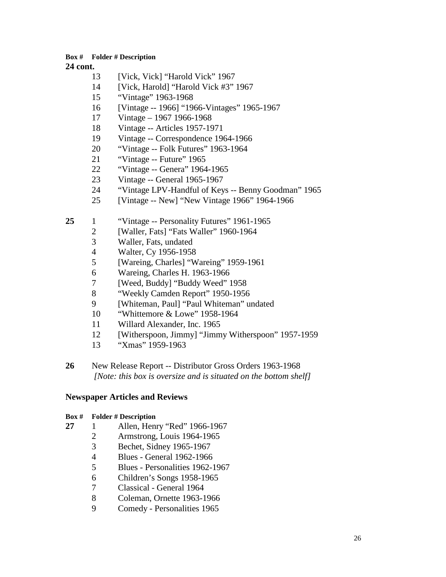**cont.**

- 13 [Vick, Vick] "Harold Vick" 1967
- [Vick, Harold] "Harold Vick #3" 1967
- "Vintage" 1963-1968
- [Vintage -- 1966] "1966-Vintages" 1965-1967
- Vintage 1967 1966-1968
- Vintage -- Articles 1957-1971
- Vintage -- Correspondence 1964-1966
- "Vintage -- Folk Futures" 1963-1964
- 21 "Vintage -- Future" 1965<br>22 "Vintage -- Genera" 1964
- "Vintage -- Genera" 1964-1965
- Vintage -- General 1965-1967
- "Vintage LPV-Handful of Keys -- Benny Goodman" 1965
- [Vintage -- New] "New Vintage 1966" 1964-1966
- 1 "Vintage -- Personality Futures" 1961-1965
	- [Waller, Fats] "Fats Waller" 1960-1964
	- Waller, Fats, undated
	- Walter, Cy 1956-1958
	- [Wareing, Charles] "Wareing" 1959-1961
	- Wareing, Charles H. 1963-1966
	- 7 [Weed, Buddy] "Buddy Weed" 1958<br>8 "Weekly Camden Report" 1950-1956
	- "Weekly Camden Report" 1950-1956
	- [Whiteman, Paul] "Paul Whiteman" undated
	- "Whittemore & Lowe" 1958-1964
	- Willard Alexander, Inc. 1965
	- [Witherspoon, Jimmy] "Jimmy Witherspoon" 1957-1959
	- "Xmas" 1959-1963
- New Release Report -- Distributor Gross Orders 1963-1968 *[Note: this box is oversize and is situated on the bottom shelf]*

#### **Newspaper Articles and Reviews**

- 1 Allen, Henry "Red" 1966-1967
	- Armstrong, Louis 1964-1965
	- Bechet, Sidney 1965-1967
	- Blues General 1962-1966
	- Blues Personalities 1962-1967
	- Children's Songs 1958-1965
	- Classical General 1964
	- Coleman, Ornette 1963-1966
	- Comedy Personalities 1965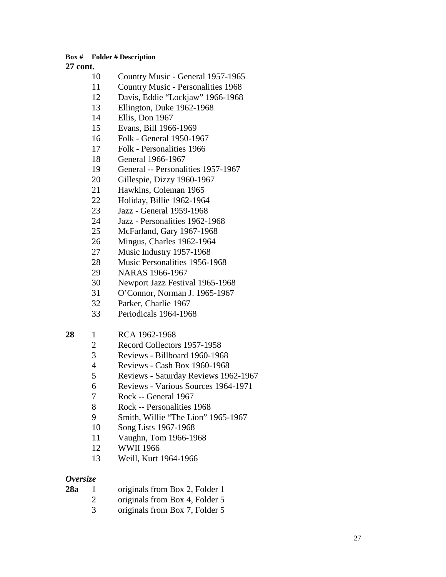#### **cont.**

- Country Music General 1957-1965
- Country Music Personalities 1968
- Davis, Eddie "Lockjaw" 1966-1968
- Ellington, Duke 1962-1968
- Ellis, Don 1967
- Evans, Bill 1966-1969
- Folk General 1950-1967
- Folk Personalities 1966
- General 1966-1967
- General -- Personalities 1957-1967
- Gillespie, Dizzy 1960-1967
- Hawkins, Coleman 1965
- Holiday, Billie 1962-1964
- Jazz General 1959-1968
- Jazz Personalities 1962-1968
- McFarland, Gary 1967-1968
- Mingus, Charles 1962-1964
- Music Industry 1957-1968
- Music Personalities 1956-1968
- NARAS 1966-1967
- Newport Jazz Festival 1965-1968
- O'Connor, Norman J. 1965-1967
- Parker, Charlie 1967
- Periodicals 1964-1968

# 1 RCA 1962-1968

- Record Collectors 1957-1958
- Reviews Billboard 1960-1968
- Reviews Cash Box 1960-1968
- Reviews Saturday Reviews 1962-1967
- Reviews Various Sources 1964-1971
- Rock -- General 1967
- Rock -- Personalities 1968
- Smith, Willie "The Lion" 1965-1967
- Song Lists 1967-1968
- Vaughn, Tom 1966-1968
- WWII 1966
- Weill, Kurt 1964-1966

# *Oversize*

**28a** 1 originals from Box 2, Folder 1 originals from Box 4, Folder 5 originals from Box 7, Folder 5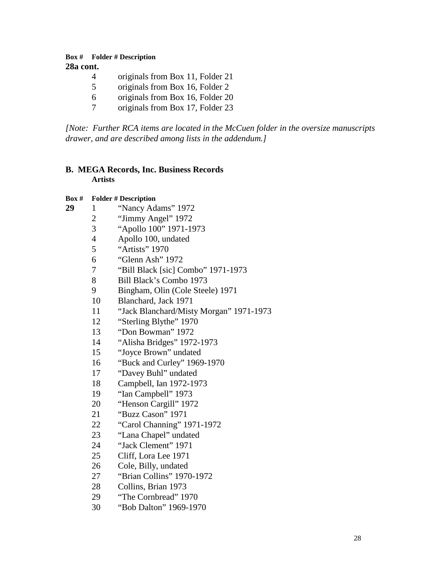### **Box # Folder # Description 28a cont.**

- 4 originals from Box 11, Folder 21<br>5 originals from Box 16, Folder 2
- originals from Box 16, Folder 2
- originals from Box 16, Folder 20
- originals from Box 17, Folder 23

*[Note: Further RCA items are located in the McCuen folder in the oversize manuscripts drawer, and are described among lists in the addendum.]*

# **B. MEGA Records, Inc. Business Records Artists**

- 1 "Nancy Adams" 1972
	- "Jimmy Angel" 1972
	- "Apollo 100" 1971-1973
	- Apollo 100, undated
	- "Artists" 1970
	- 6 "Glenn Ash" 1972<br>7 "Bill Black [sic] C
	- "Bill Black [sic] Combo" 1971-1973
	- Bill Black's Combo 1973
	- Bingham, Olin (Cole Steele) 1971
	- Blanchard, Jack 1971
	- "Jack Blanchard/Misty Morgan" 1971-1973
	- "Sterling Blythe" 1970
	- "Don Bowman" 1972
	- "Alisha Bridges" 1972-1973
	- "Joyce Brown" undated
	- "Buck and Curley" 1969-1970
	- "Davey Buhl" undated
	- Campbell, Ian 1972-1973
	- "Ian Campbell" 1973
	- "Henson Cargill" 1972
	- "Buzz Cason" 1971
	- "Carol Channing" 1971-1972
	- "Lana Chapel" undated
	- "Jack Clement" 1971
	- Cliff, Lora Lee 1971
	- Cole, Billy, undated
	- "Brian Collins" 1970-1972
	- Collins, Brian 1973
	- "The Cornbread" 1970
	- "Bob Dalton" 1969-1970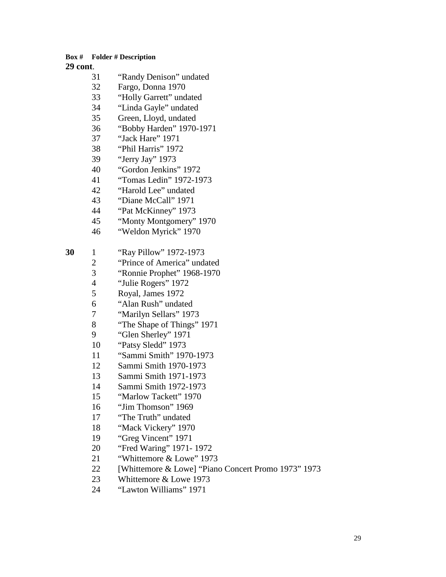| Box #    |                    | <b>Folder # Description</b> |
|----------|--------------------|-----------------------------|
| 29 cont. |                    |                             |
|          | 31                 | "Randy Denison" undated     |
|          | 32                 | Fargo, Donna 1970           |
|          | 33                 | "Holly Garrett" undated     |
|          | 34                 | "Linda Gayle" undated       |
|          | 35                 | Green, Lloyd, undated       |
|          | 36                 | "Bobby Harden" 1970-1971    |
|          | 37                 | "Jack Hare" 1971            |
|          | "Phil Harris" 1972 |                             |
|          | 39                 | "Jerry Jay" 1973            |
|          | 40                 | "Gordon Jenkins" 1972       |
|          | 41                 | "Tomas Ledin" 1972-1973     |
|          | 42                 | "Harold Lee" undated        |
|          | 43                 | "Diane McCall" 1971         |
|          | 44                 | "Pat McKinney" 1973         |
|          | 45                 | "Monty Montgomery" 1970     |
|          | 46                 | "Weldon Myrick" 1970        |
| 30       | 1                  | "Ray Pillow" 1972-1973      |
|          | $\overline{2}$     | "Prince of America" undated |
|          | $\overline{3}$     | "Ronnie Prophet" 1968-1970  |
|          | $\overline{4}$     | "Julie Rogers" 1972         |
|          | 5                  | Royal, James 1972           |
|          | 6                  | "Alan Rush" undated         |
|          | 7                  | "Marilyn Sellars" 1973      |
|          | 8                  | "The Shape of Things" 1971  |
|          | 9                  | "Glen Sherley" 1971         |
|          | 10                 | "Patsy Sledd" 1973          |
|          | 11                 | "Sammi Smith" 1970-1973     |
|          | 12                 | Sammi Smith 1970-1973       |
|          | 13                 | Sammi Smith 1971-1973       |
|          | 14                 | Sammi Smith 1972-1973       |
|          | 15                 | "Marlow Tackett" 1970       |
|          | 16                 | "Jim Thomson" 1969          |
|          | 17                 | "The Truth" undated         |

- "Mack Vickery" 1970
- 19 "Greg Vincent" 1971<br>20 "Fred Waring" 1971-
- "Fred Waring" 1971- 1972
- **Whittemore & Lowe" 1973**
- 22 [Whittemore & Lowe] "Piano Concert Promo 1973" 1973<br>23 Mhittemore & Lowe 1973
- 23 Whittemore & Lowe 1973<br>24 "Lawton Williams" 1971
- "Lawton Williams" 1971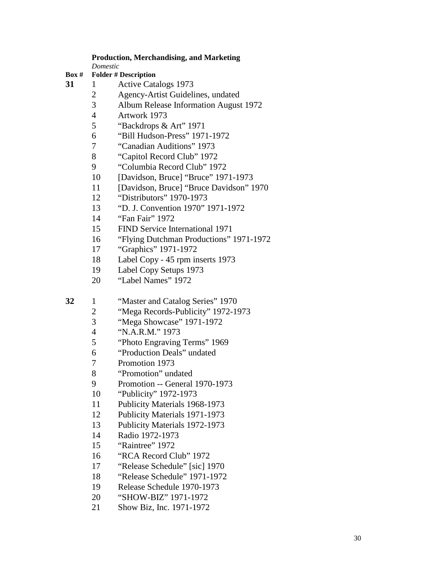#### **Production, Merchandising, and Marketing**

*Domestic*

- **Box # Folder # Description**
- 1 Active Catalogs 1973
	- 2 Agency-Artist Guidelines, undated<br>3 Album Release Information August
	- Album Release Information August 1972
	- 4 Artwork 1973<br>5 "Backdrops &
	- "Backdrops & Art" 1971
	- "Bill Hudson-Press" 1971-1972
	- "Canadian Auditions" 1973
	- "Capitol Record Club" 1972
	- "Columbia Record Club" 1972
	- [Davidson, Bruce] "Bruce" 1971-1973
	- [Davidson, Bruce] "Bruce Davidson" 1970
	- "Distributors" 1970-1973
	- "D. J. Convention 1970" 1971-1972
	- "Fan Fair" 1972
	- FIND Service International 1971
	- "Flying Dutchman Productions" 1971-1972
	- "Graphics" 1971-1972
	- Label Copy 45 rpm inserts 1973
	- Label Copy Setups 1973
	- "Label Names" 1972

1 "Master and Catalog Series" 1970

- 2 "Mega Records-Publicity" 1972-1973<br>3 "Mega Showcase" 1971-1972
- "Mega Showcase" 1971-1972
- "N.A.R.M." 1973
- "Photo Engraving Terms" 1969
- "Production Deals" undated
- Promotion 1973
- "Promotion" undated
- Promotion -- General 1970-1973
- "Publicity" 1972-1973
- Publicity Materials 1968-1973
- Publicity Materials 1971-1973
- Publicity Materials 1972-1973
- Radio 1972-1973
- "Raintree" 1972
- "RCA Record Club" 1972
- "Release Schedule" [sic] 1970
- "Release Schedule" 1971-1972
- Release Schedule 1970-1973
- "SHOW-BIZ" 1971-1972
- Show Biz, Inc. 1971-1972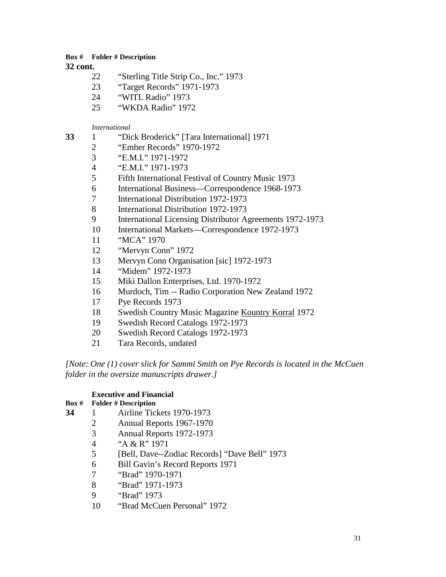**32 cont.**

- "Sterling Title Strip Co., Inc." 1973
- "Target Records" 1971-1973
- "WITL Radio" 1973
- "WKDA Radio" 1972

*International*

- 1 "Dick Broderick" [Tara International] 1971
	- "Ember Records" 1970-1972
	- "E.M.I." 1971-1972
	- "E.M.I." 1971-1973
	- Fifth International Festival of Country Music 1973
	- International Business—Correspondence 1968-1973
	- International Distribution 1972-1973
	- International Distribution 1972-1973
	- International Licensing Distributor Agreements 1972-1973
	- International Markets—Correspondence 1972-1973
	- "MCA" 1970
	- "Mervyn Conn" 1972
	- Mervyn Conn Organisation [sic] 1972-1973
	- "Midem" 1972-1973
	- Miki Dallon Enterprises, Ltd. 1970-1972
	- Murdoch, Tim -- Radio Corporation New Zealand 1972
	- Pye Records 1973
	- 18 Swedish Country Music Magazine Kountry Korral 1972
	- Swedish Record Catalogs 1972-1973
	- Swedish Record Catalogs 1972-1973
	- Tara Records, undated

*[Note: One (1) cover slick for Sammi Smith on Pye Records is located in the McCuen folder in the oversize manuscripts drawer.]*

# **Executive and Financial**

- 1 Airline Tickets 1970-1973
	- Annual Reports 1967-1970
	- Annual Reports 1972-1973
	- 4 <br>
	"A & R" 1971<br>
	5 [Bell, Dave--Z]
	- [Bell, Dave--Zodiac Records] "Dave Bell" 1973
	- Bill Gavin's Record Reports 1971
	- "Brad" 1970-1971
	- "Brad" 1971-1973
	- "Brad" 1973
	- "Brad McCuen Personal" 1972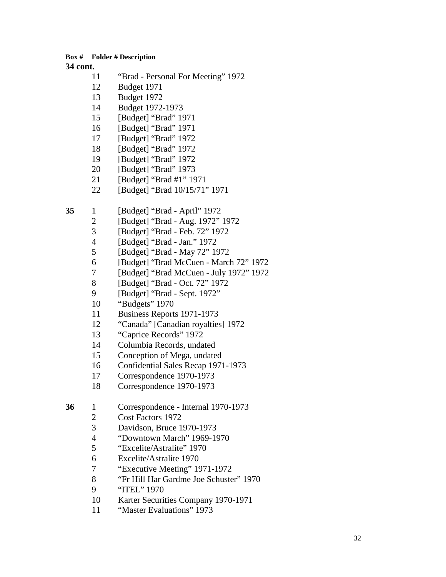- "Brad Personal For Meeting" 1972
- Budget 1971
- Budget 1972
- Budget 1972-1973
- [Budget] "Brad" 1971
- [Budget] "Brad" 1971
- [Budget] "Brad" 1972
- [Budget] "Brad" 1972
- [Budget] "Brad" 1972
- [Budget] "Brad" 1973
- [Budget] "Brad #1" 1971
- [Budget] "Brad 10/15/71" 1971
- 1 [Budget] "Brad April" 1972
	- [Budget] "Brad Aug. 1972" 1972
	- [Budget] "Brad Feb. 72" 1972
	- [Budget] "Brad Jan." 1972
	- [Budget] "Brad May 72" 1972
	- [Budget] "Brad McCuen March 72" 1972
	- 7 [Budget] "Brad McCuen July 1972" 1972<br>8 [Budget] "Brad Oct. 72" 1972
	- 8 [Budget] "Brad Oct. 72" 1972<br>9 [Budget] "Brad Sept. 1972"
	- [Budget] "Brad Sept. 1972"
	- "Budgets" 1970
	- Business Reports 1971-1973
	- "Canada" [Canadian royalties] 1972
	- "Caprice Records" 1972
	- Columbia Records, undated
	- Conception of Mega, undated
	- Confidential Sales Recap 1971-1973
	- Correspondence 1970-1973
	- Correspondence 1970-1973
- 1 Correspondence Internal 1970-1973
	- Cost Factors 1972
	- Davidson, Bruce 1970-1973
	- "Downtown March" 1969-1970
	- "Excelite/Astralite" 1970
	- Excelite/Astralite 1970
	- "Executive Meeting" 1971-1972
	- 8 "Fr Hill Har Gardme Joe Schuster" 1970<br>9 "ITEL" 1970
	- "ITEL" 1970
	- Karter Securities Company 1970-1971
	- "Master Evaluations" 1973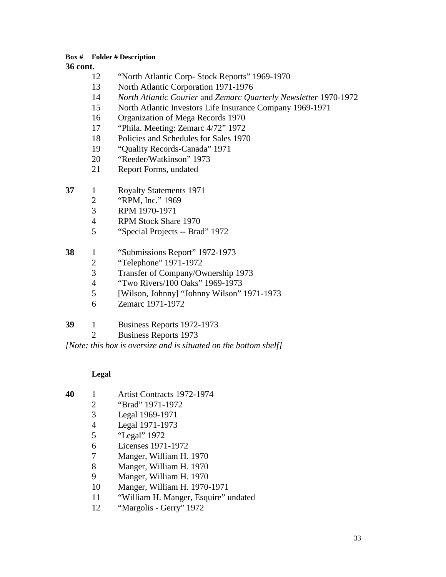### **cont.**

- "North Atlantic Corp- Stock Reports" 1969-1970
- North Atlantic Corporation 1971-1976
- *North Atlantic Courier* and *Zemarc Quarterly Newsletter* 1970-1972
- North Atlantic Investors Life Insurance Company 1969-1971
- Organization of Mega Records 1970
- "Phila. Meeting: Zemarc 4/72" 1972
- Policies and Schedules for Sales 1970
- "Quality Records-Canada" 1971
- "Reeder/Watkinson" 1973
- Report Forms, undated
- 1 Royalty Statements 1971
	- "RPM, Inc." 1969
	- RPM 1970-1971
	- RPM Stock Share 1970
	- "Special Projects -- Brad" 1972
- 1 "Submissions Report" 1972-1973
	- "Telephone" 1971-1972
	- Transfer of Company/Ownership 1973
	- "Two Rivers/100 Oaks" 1969-1973
	- [Wilson, Johnny] "Johnny Wilson" 1971-1973
	- Zemarc 1971-1972

# 1 Business Reports 1972-1973

Business Reports 1973

*[Note: this box is oversize and is situated on the bottom shelf]*

# **Legal**

- 1 Artist Contracts 1972-1974
	- "Brad" 1971-1972
	- Legal 1969-1971
	- Legal 1971-1973
	- "Legal" 1972
	- Licenses 1971-1972
	- Manger, William H. 1970
	- Manger, William H. 1970
	- Manger, William H. 1970
	- 10 Manger, William H. 1970-1971
	- "William H. Manger, Esquire" undated
	- "Margolis Gerry" 1972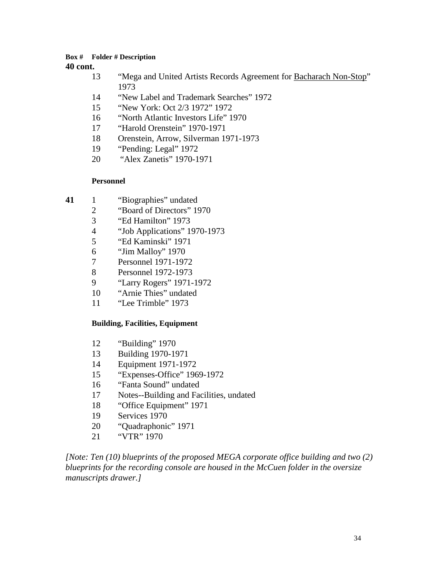**cont.**

- "Mega and United Artists Records Agreement for Bacharach Non-Stop"
- "New Label and Trademark Searches" 1972
- "New York: Oct 2/3 1972" 1972
- "North Atlantic Investors Life" 1970
- "Harold Orenstein" 1970-1971
- Orenstein, Arrow, Silverman 1971-1973
- "Pending: Legal" 1972
- "Alex Zanetis" 1970-1971

# **Personnel**

- 1 "Biographies" undated
	- "Board of Directors" 1970
	- 3 <br>
	"Ed Hamilton" 1973<br>
	4 <br>
	"Job Applications" 1
	- "Job Applications" 1970-1973
	- "Ed Kaminski" 1971
	- "Jim Malloy" 1970
	- Personnel 1971-1972
	- Personnel 1972-1973
	- "Larry Rogers" 1971-1972
	- "Arnie Thies" undated
	- "Lee Trimble" 1973

# **Building, Facilities, Equipment**

- "Building" 1970
- Building 1970-1971
- Equipment 1971-1972
- "Expenses-Office" 1969-1972
- "Fanta Sound" undated
- Notes--Building and Facilities, undated
- "Office Equipment" 1971
- Services 1970
- "Quadraphonic" 1971
- "VTR" 1970

*[Note: Ten (10) blueprints of the proposed MEGA corporate office building and two (2) blueprints for the recording console are housed in the McCuen folder in the oversize manuscripts drawer.]*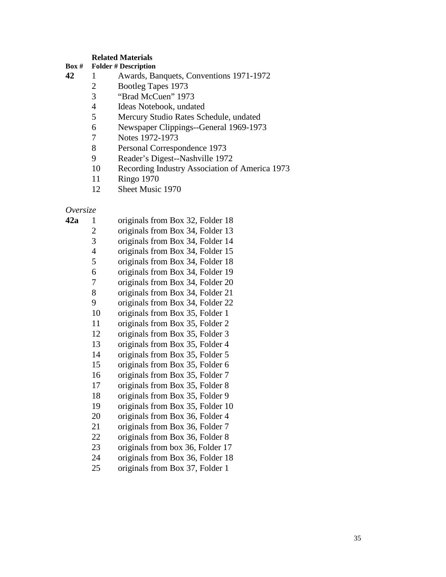#### **Related Materials**

#### **Box # Folder # Description**

- 1 Awards, Banquets, Conventions 1971-1972
	- 2 Bootleg Tapes 1973<br>3 "Brad McCuen" 197
		- "Brad McCuen" 1973
	- 4 Ideas Notebook, undated<br>5 Mercury Studio Rates Sch
	- 5 Mercury Studio Rates Schedule, undated<br>6 Newspaper Clippings--General 1969-1973
	- Newspaper Clippings--General 1969-1973
	- 7 Notes 1972-1973<br>8 Personal Correspo
	- 8 Personal Correspondence 1973<br>9 Reader's Digest--Nashville 197
	- Reader's Digest--Nashville 1972
	- Recording Industry Association of America 1973
	- Ringo 1970
	- Sheet Music 1970

# *Oversize*

| 42a | 1              | originals from Box 32, Folder 18 |
|-----|----------------|----------------------------------|
|     | $\overline{c}$ | originals from Box 34, Folder 13 |
|     | 3              | originals from Box 34, Folder 14 |
|     | $\overline{4}$ | originals from Box 34, Folder 15 |
|     | 5              | originals from Box 34, Folder 18 |
|     | 6              | originals from Box 34, Folder 19 |
|     | 7              | originals from Box 34, Folder 20 |
|     | 8              | originals from Box 34, Folder 21 |
|     | 9              | originals from Box 34, Folder 22 |
|     | 10             | originals from Box 35, Folder 1  |
|     | 11             | originals from Box 35, Folder 2  |
|     | 12             | originals from Box 35, Folder 3  |
|     | 13             | originals from Box 35, Folder 4  |
|     | 14             | originals from Box 35, Folder 5  |
|     | 15             | originals from Box 35, Folder 6  |
|     | 16             | originals from Box 35, Folder 7  |
|     | 17             | originals from Box 35, Folder 8  |
|     | 18             | originals from Box 35, Folder 9  |
|     | 19             | originals from Box 35, Folder 10 |
|     | 20             | originals from Box 36, Folder 4  |
|     | 21             | originals from Box 36, Folder 7  |
|     | 22             | originals from Box 36, Folder 8  |
|     | 23             | originals from box 36, Folder 17 |
|     | 24             | originals from Box 36, Folder 18 |
|     | 25             | originals from Box 37, Folder 1  |
|     |                |                                  |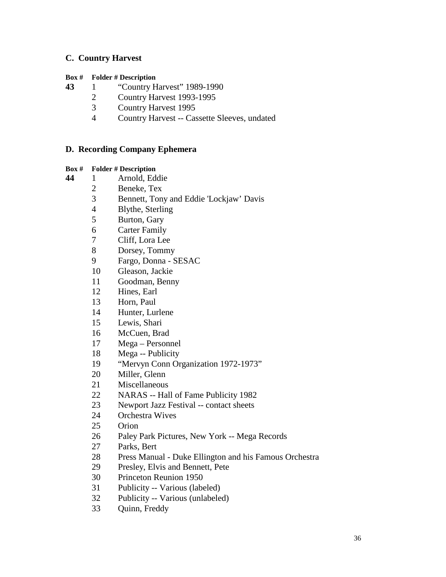# **C. Country Harvest**

#### **Box # Folder # Description**

1 "Country Harvest" 1989-1990

- Country Harvest 1993-1995
- 3 Country Harvest 1995<br>4 Country Harvest -- Cas
- Country Harvest -- Cassette Sleeves, undated

# **D. Recording Company Ephemera**

- 1 Arnold, Eddie
	- Beneke, Tex
		- 3 Bennett, Tony and Eddie 'Lockjaw' Davis<br>4 Blythe, Sterling
		- Blythe, Sterling
		- Burton, Gary
		- Carter Family
		- Cliff, Lora Lee
		- Dorsey, Tommy
		- Fargo, Donna SESAC
		- Gleason, Jackie
		- Goodman, Benny
		- Hines, Earl
		- Horn, Paul
		- Hunter, Lurlene
		- Lewis, Shari
		- McCuen, Brad
		- Mega Personnel
		- Mega -- Publicity
		- "Mervyn Conn Organization 1972-1973"
		- Miller, Glenn
		- Miscellaneous
		- NARAS -- Hall of Fame Publicity 1982
		- Newport Jazz Festival -- contact sheets
		- Orchestra Wives
		- Orion
		- Paley Park Pictures, New York -- Mega Records
		- Parks, Bert
		- Press Manual Duke Ellington and his Famous Orchestra
		- Presley, Elvis and Bennett, Pete
		- Princeton Reunion 1950
		- Publicity -- Various (labeled)
		- Publicity -- Various (unlabeled)
		- Quinn, Freddy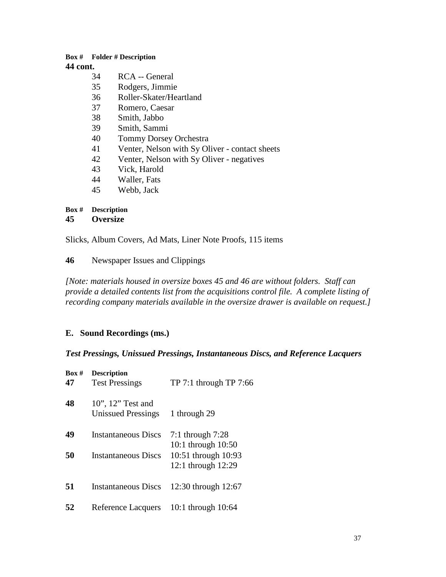- RCA -- General
- Rodgers, Jimmie
- Roller-Skater/Heartland
- Romero, Caesar
- Smith, Jabbo
- Smith, Sammi
- Tommy Dorsey Orchestra
- Venter, Nelson with Sy Oliver contact sheets
- Venter, Nelson with Sy Oliver negatives
- Vick, Harold
- Waller, Fats
- Webb, Jack

# **Box # Description**

### **Oversize**

Slicks, Album Covers, Ad Mats, Liner Note Proofs, 115 items

Newspaper Issues and Clippings

*[Note: materials housed in oversize boxes 45 and 46 are without folders. Staff can provide a detailed contents list from the acquisitions control file. A complete listing of recording company materials available in the oversize drawer is available on request.]*

# **E. Sound Recordings (ms.)**

# *Test Pressings, Unissued Pressings, Instantaneous Discs, and Reference Lacquers*

| Box #<br>47 | <b>Description</b><br><b>Test Pressings</b>       | $TP 7:1$ through $TP 7:66$                                                            |
|-------------|---------------------------------------------------|---------------------------------------------------------------------------------------|
| 48          | 10", 12" Test and<br><b>Unissued Pressings</b>    | 1 through 29                                                                          |
| 49<br>50    | Instantaneous Discs<br><b>Instantaneous Discs</b> | 7:1 through $7:28$<br>10:1 through 10:50<br>10:51 through 10:93<br>12:1 through 12:29 |
| 51          | <b>Instantaneous Discs</b>                        | 12:30 through 12:67                                                                   |
| 52          | Reference Lacquers                                | 10:1 through $10:64$                                                                  |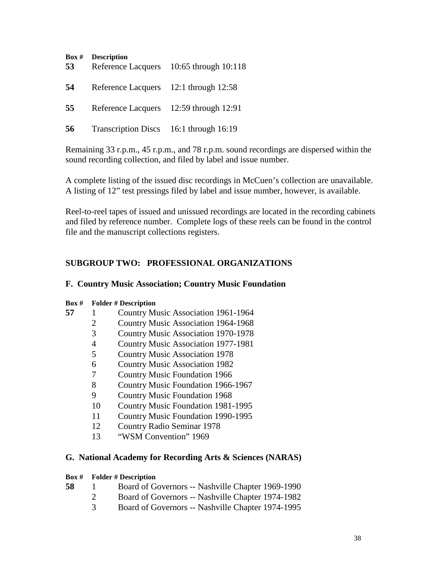| Box#<br>53 | <b>Description</b><br>Reference Lacquers | 10:65 through 10:118 |
|------------|------------------------------------------|----------------------|
| 54         | Reference Lacquers 12:1 through 12:58    |                      |
| 55         | Reference Lacquers                       | 12:59 through 12:91  |
| 56         | Transcription Discs 16:1 through 16:19   |                      |

Remaining 33 r.p.m., 45 r.p.m., and 78 r.p.m. sound recordings are dispersed within the sound recording collection, and filed by label and issue number.

A complete listing of the issued disc recordings in McCuen's collection are unavailable. A listing of 12" test pressings filed by label and issue number, however, is available.

Reel-to-reel tapes of issued and unissued recordings are located in the recording cabinets and filed by reference number. Complete logs of these reels can be found in the control file and the manuscript collections registers.

# **SUBGROUP TWO: PROFESSIONAL ORGANIZATIONS**

# **F. Country Music Association; Country Music Foundation**

| Box # |    | <b>Folder # Description</b>                |
|-------|----|--------------------------------------------|
|       |    | Country Music Association 1961-1964        |
|       | 2  | <b>Country Music Association 1964-1968</b> |
|       | 3  | <b>Country Music Association 1970-1978</b> |
|       | 4  | <b>Country Music Association 1977-1981</b> |
|       | 5  | <b>Country Music Association 1978</b>      |
|       | 6  | <b>Country Music Association 1982</b>      |
|       | 7  | <b>Country Music Foundation 1966</b>       |
|       | 8  | Country Music Foundation 1966-1967         |
|       | 9  | <b>Country Music Foundation 1968</b>       |
|       | 10 | <b>Country Music Foundation 1981-1995</b>  |
|       | 11 | Country Music Foundation 1990-1995         |
|       | 12 | <b>Country Radio Seminar 1978</b>          |
|       |    |                                            |

"WSM Convention" 1969

# **G. National Academy for Recording Arts & Sciences (NARAS)**

- 1 Board of Governors -- Nashville Chapter 1969-1990
	- Board of Governors -- Nashville Chapter 1974-1982
		- Board of Governors -- Nashville Chapter 1974-1995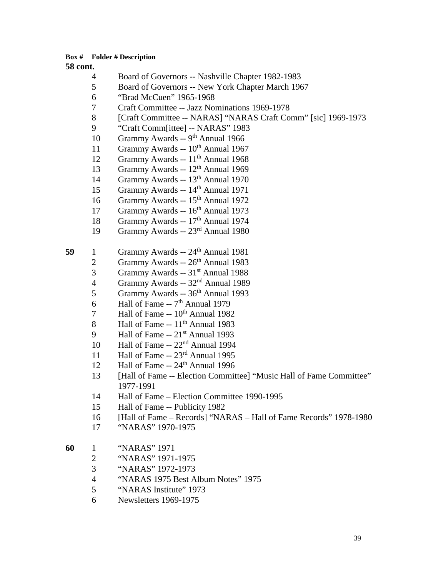- 4 Board of Governors -- Nashville Chapter 1982-1983
- 5 Board of Governors -- New York Chapter March 1967
- 6 "Brad McCuen" 1965-1968
- 7 Craft Committee -- Jazz Nominations 1969-1978
- 8 [Craft Committee -- NARAS] "NARAS Craft Comm" [sic] 1969-1973
- 9 "Craft Comm[ittee] -- NARAS" 1983
- 10 Grammy Awards -- 9<sup>th</sup> Annual 1966
- 11 Grammy Awards --  $10^{th}$  Annual 1967
- 12 Grammy Awards -- 11<sup>th</sup> Annual 1968
- 13 Grammy Awards -- 12<sup>th</sup> Annual 1969
- 14 Grammy Awards -- 13th Annual 1970
- 15 Grammy Awards -- 14<sup>th</sup> Annual 1971
- 16 Grammy Awards -- 15<sup>th</sup> Annual 1972
- 17 Grammy Awards -- 16<sup>th</sup> Annual 1973
- 18 Grammy Awards -- 17<sup>th</sup> Annual 1974
- 19 Grammy Awards -- 23rd Annual 1980
- **59** 1 Grammy Awards -- 24<sup>th</sup> Annual 1981
	- 2 Grammy Awards --  $26<sup>th</sup>$  Annual 1983
	- 3 Grammy Awards -- 31st Annual 1988
	- 4 Grammy Awards -- 32<sup>nd</sup> Annual 1989<br>5 Grammy Awards -- 36<sup>th</sup> Annual 1993
	- 5 Grammy Awards -- 36th Annual 1993
	- 6 Hall of Fame --  $7<sup>th</sup>$  Annual 1979
	- 7 Hall of Fame  $-10^{th}$  Annual 1982
	- 8 Hall of Fame  $-11<sup>th</sup>$  Annual 1983
	- 9 Hall of Fame  $-21<sup>st</sup>$  Annual 1993
	- 10 Hall of Fame --  $22<sup>nd</sup>$  Annual 1994
	- 11 Hall of Fame --  $23<sup>rd</sup>$  Annual 1995
	- 12 Hall of Fame -- 24<sup>th</sup> Annual 1996
	- 13 [Hall of Fame -- Election Committee] "Music Hall of Fame Committee" 1977-1991
	- 14 Hall of Fame Election Committee 1990-1995
	- 15 Hall of Fame -- Publicity 1982
	- 16 [Hall of Fame Records] "NARAS Hall of Fame Records" 1978-1980
	- 17 "NARAS" 1970-1975
- **60** 1 "NARAS" 1971
	- 2 "NARAS" 1971-1975
	- 3 "NARAS" 1972-1973
	- 4 "NARAS 1975 Best Album Notes" 1975<br>5 "NARAS Institute" 1973
	- 5 "NARAS Institute" 1973
	- 6 Newsletters 1969-1975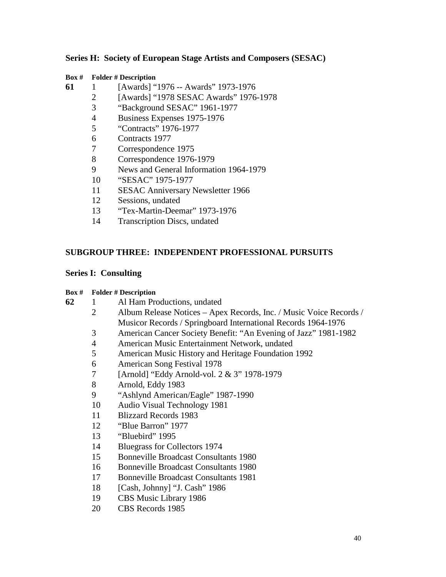# **Series H: Society of European Stage Artists and Composers (SESAC)**

#### **Box # Folder # Description**

1 [Awards] "1976 -- Awards" 1973-1976

- [Awards] "1978 SESAC Awards" 1976-1978
- "Background SESAC" 1961-1977
- Business Expenses 1975-1976
- "Contracts" 1976-1977
- Contracts 1977
- Correspondence 1975
- Correspondence 1976-1979
- News and General Information 1964-1979
- "SESAC" 1975-1977
- SESAC Anniversary Newsletter 1966
- Sessions, undated
- "Tex-Martin-Deemar" 1973-1976
- Transcription Discs, undated

# **SUBGROUP THREE: INDEPENDENT PROFESSIONAL PURSUITS**

# **Series I: Consulting**

| 62 |  | Al Ham Productions, undated |
|----|--|-----------------------------|
|----|--|-----------------------------|

- Album Release Notices Apex Records, Inc. / Music Voice Records / Musicor Records / Springboard International Records 1964-1976
- American Cancer Society Benefit: "An Evening of Jazz" 1981-1982
- American Music Entertainment Network, undated
- American Music History and Heritage Foundation 1992
- American Song Festival 1978
- [Arnold] "Eddy Arnold-vol. 2 & 3" 1978-1979
- Arnold, Eddy 1983
- "Ashlynd American/Eagle" 1987-1990
- Audio Visual Technology 1981
- Blizzard Records 1983
- "Blue Barron" 1977
- "Bluebird" 1995
- Bluegrass for Collectors 1974
- Bonneville Broadcast Consultants 1980
- Bonneville Broadcast Consultants 1980
- Bonneville Broadcast Consultants 1981
- [Cash, Johnny] "J. Cash" 1986
- CBS Music Library 1986
- CBS Records 1985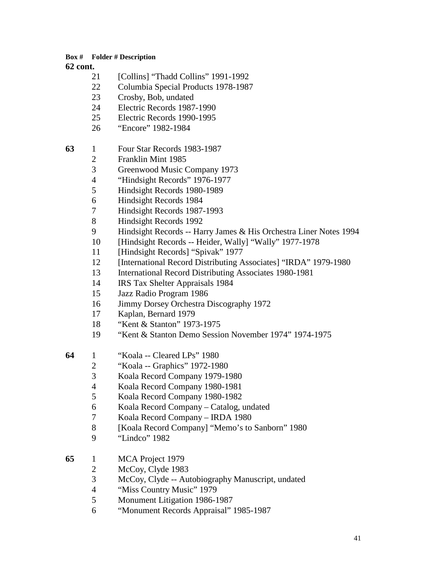- [Collins] "Thadd Collins" 1991-1992
- Columbia Special Products 1978-1987
- Crosby, Bob, undated
- Electric Records 1987-1990
- Electric Records 1990-1995
- "Encore" 1982-1984
- 1 Four Star Records 1983-1987
	- Franklin Mint 1985
		- Greenwood Music Company 1973
		- "Hindsight Records" 1976-1977
	- Hindsight Records 1980-1989
	- Hindsight Records 1984
	- Hindsight Records 1987-1993
	- Hindsight Records 1992
	- 9 Hindsight Records -- Harry James & His Orchestra Liner Notes 1994
	- [Hindsight Records -- Heider, Wally] "Wally" 1977-1978
	- [Hindsight Records] "Spivak" 1977
	- [International Record Distributing Associates] "IRDA" 1979-1980
	- International Record Distributing Associates 1980-1981
	- IRS Tax Shelter Appraisals 1984
	- Jazz Radio Program 1986
	- Jimmy Dorsey Orchestra Discography 1972
	- Kaplan, Bernard 1979
	- "Kent & Stanton" 1973-1975
	- "Kent & Stanton Demo Session November 1974" 1974-1975
- 1 "Koala -- Cleared LPs" 1980
	- "Koala -- Graphics" 1972-1980
	- Koala Record Company 1979-1980
	- Koala Record Company 1980-1981
	- Koala Record Company 1980-1982
	- Koala Record Company Catalog, undated
	- Koala Record Company IRDA 1980
	- [Koala Record Company] "Memo's to Sanborn" 1980
	- "Lindco" 1982
- 1 MCA Project 1979
	- 2 McCoy, Clyde 1983
	- McCoy, Clyde -- Autobiography Manuscript, undated
	- "Miss Country Music" 1979
	- Monument Litigation 1986-1987
	- "Monument Records Appraisal" 1985-1987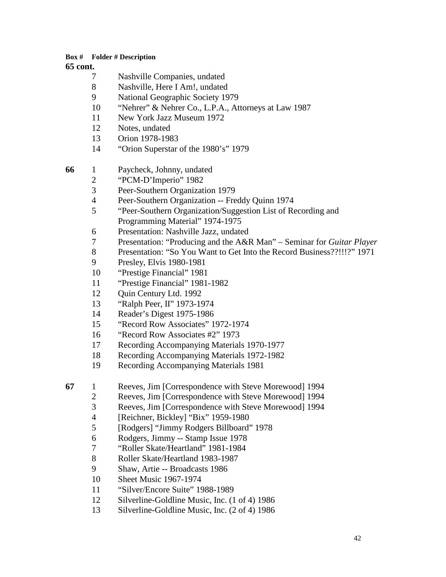- 7 Nashville Companies, undated<br>8 Nashville Here I Am! undated
- 8 Nashville, Here I Am!, undated<br>9 National Geographic Society 19
- National Geographic Society 1979
- "Nehrer" & Nehrer Co., L.P.A., Attorneys at Law 1987
- New York Jazz Museum 1972
- Notes, undated
- Orion 1978-1983
- "Orion Superstar of the 1980's" 1979
- 1 Paycheck, Johnny, undated
	- 2 "PCM-D'Imperio" 1982<br>3 Peer-Southern Organizat
	- Peer-Southern Organization 1979
	- Peer-Southern Organization -- Freddy Quinn 1974
	- "Peer-Southern Organization/Suggestion List of Recording and Programming Material" 1974-1975
	- Presentation: Nashville Jazz, undated
	- Presentation: "Producing and the A&R Man" Seminar for *Guitar Player*
	- Presentation: "So You Want to Get Into the Record Business??!!!?" 1971
	- Presley, Elvis 1980-1981
	- "Prestige Financial" 1981
	- "Prestige Financial" 1981-1982
	- Quin Century Ltd. 1992
	- "Ralph Peer, II" 1973-1974
	- Reader's Digest 1975-1986
	- "Record Row Associates" 1972-1974
	- "Record Row Associates #2" 1973
	- Recording Accompanying Materials 1970-1977
	- Recording Accompanying Materials 1972-1982
	- Recording Accompanying Materials 1981
- 1 Reeves, Jim [Correspondence with Steve Morewood] 1994
	- Reeves, Jim [Correspondence with Steve Morewood] 1994
	- Reeves, Jim [Correspondence with Steve Morewood] 1994
	- [Reichner, Bickley] "Bix" 1959-1980
	- [Rodgers] "Jimmy Rodgers Billboard" 1978
	- Rodgers, Jimmy -- Stamp Issue 1978
	- "Roller Skate/Heartland" 1981-1984
	- Roller Skate/Heartland 1983-1987
	- Shaw, Artie -- Broadcasts 1986
	- Sheet Music 1967-1974
	- "Silver/Encore Suite" 1988-1989
	- Silverline-Goldline Music, Inc. (1 of 4) 1986
	- Silverline-Goldline Music, Inc. (2 of 4) 1986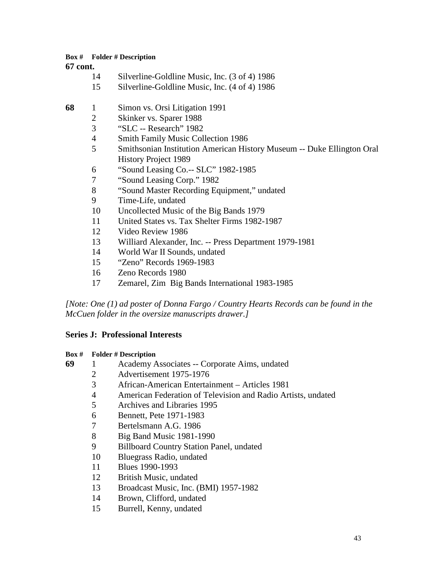**cont.**

| 14 |  | Silverline-Goldline Music, Inc. (3 of 4) 1986 |  |  |  |
|----|--|-----------------------------------------------|--|--|--|
|    |  |                                               |  |  |  |

Silverline-Goldline Music, Inc. (4 of 4) 1986

| 68 | 1              | Simon vs. Orsi Litigation 1991                                         |
|----|----------------|------------------------------------------------------------------------|
|    | $\overline{2}$ | Skinker vs. Sparer 1988                                                |
|    | 3              | "SLC -- Research" 1982                                                 |
|    | $\overline{4}$ | <b>Smith Family Music Collection 1986</b>                              |
|    | 5              | Smithsonian Institution American History Museum -- Duke Ellington Oral |
|    |                | <b>History Project 1989</b>                                            |
|    | 6              | "Sound Leasing Co.-- SLC" 1982-1985                                    |
|    | 7              | "Sound Leasing Corp." 1982                                             |
|    | 8              | "Sound Master Recording Equipment," undated                            |
|    | 9              | Time-Life, undated                                                     |
|    | 10             | Uncollected Music of the Big Bands 1979                                |
|    | 11             | United States vs. Tax Shelter Firms 1982-1987                          |
|    | 12             | Video Review 1986                                                      |
|    | 13             | Williard Alexander, Inc. -- Press Department 1979-1981                 |
|    | 14             | World War II Sounds, undated                                           |
|    | 15             | "Zeno" Records 1969-1983                                               |
|    | 16             | Zeno Records 1980                                                      |
|    | 17             | Zemarel, Zim Big Bands International 1983-1985                         |

*[Note: One (1) ad poster of Donna Fargo / Country Hearts Records can be found in the McCuen folder in the oversize manuscripts drawer.]* 

# **Series J: Professional Interests**

# **Box # Folder # Description** 1 Academy Associates -- Corporate Aims, undated Advertisement 1975-1976 African-American Entertainment – Articles 1981 American Federation of Television and Radio Artists, undated Archives and Libraries 1995 Bennett, Pete 1971-1983 Bertelsmann A.G. 1986 Big Band Music 1981-1990 Billboard Country Station Panel, undated Bluegrass Radio, undated Blues 1990-1993 British Music, undated Broadcast Music, Inc. (BMI) 1957-1982 Brown, Clifford, undated Burrell, Kenny, undated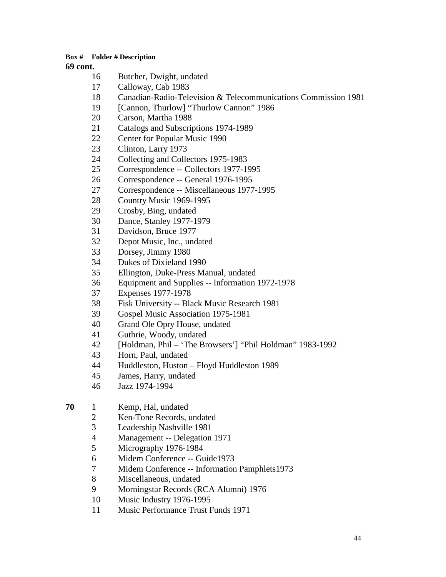- Butcher, Dwight, undated
- Calloway, Cab 1983
- Canadian-Radio-Television & Telecommunications Commission 1981
- 19 [Cannon, Thurlow] "Thurlow Cannon" 1986
- Carson, Martha 1988
- Catalogs and Subscriptions 1974-1989
- Center for Popular Music 1990
- Clinton, Larry 1973
- 24 Collecting and Collectors 1975-1983<br>25 Correspondence -- Collectors 1977-19
- Correspondence -- Collectors 1977-1995
- Correspondence -- General 1976-1995
- Correspondence -- Miscellaneous 1977-1995
- Country Music 1969-1995
- Crosby, Bing, undated
- Dance, Stanley 1977-1979
- Davidson, Bruce 1977
- Depot Music, Inc., undated
- Dorsey, Jimmy 1980
- Dukes of Dixieland 1990
- Ellington, Duke-Press Manual, undated
- Equipment and Supplies -- Information 1972-1978
- Expenses 1977-1978
- Fisk University -- Black Music Research 1981
- Gospel Music Association 1975-1981
- Grand Ole Opry House, undated
- Guthrie, Woody, undated
- [Holdman, Phil 'The Browsers'] "Phil Holdman" 1983-1992
- Horn, Paul, undated
- Huddleston, Huston Floyd Huddleston 1989
- James, Harry, undated
- Jazz 1974-1994
- 1 Kemp, Hal, undated
	- Ken-Tone Records, undated
	- Leadership Nashville 1981
	- Management -- Delegation 1971
	- Micrography 1976-1984
	- Midem Conference -- Guide1973
	- Midem Conference -- Information Pamphlets1973
	- Miscellaneous, undated
	- Morningstar Records (RCA Alumni) 1976
	- Music Industry 1976-1995
	- Music Performance Trust Funds 1971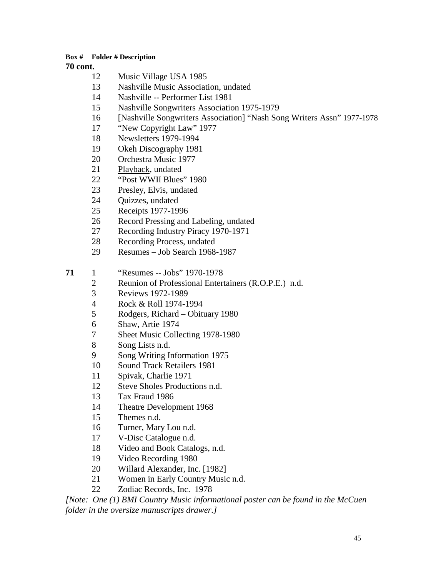### **cont.**

- Music Village USA 1985
- Nashville Music Association, undated
- Nashville -- Performer List 1981
- Nashville Songwriters Association 1975-1979
- [Nashville Songwriters Association] "Nash Song Writers Assn" 1977-1978
- "New Copyright Law" 1977
- Newsletters 1979-1994
- Okeh Discography 1981
- Orchestra Music 1977
- Playback, undated
- "Post WWII Blues" 1980
- Presley, Elvis, undated
- Quizzes, undated
- Receipts 1977-1996
- Record Pressing and Labeling, undated
- Recording Industry Piracy 1970-1971
- Recording Process, undated
- Resumes Job Search 1968-1987

1 "Resumes -- Jobs" 1970-1978

- 2 Reunion of Professional Entertainers (R.O.P.E.) n.d.<br>3 Reviews 1972-1989
- Reviews 1972-1989
- Rock & Roll 1974-1994
- Rodgers, Richard Obituary 1980
- Shaw, Artie 1974
- Sheet Music Collecting 1978-1980
- Song Lists n.d.
- Song Writing Information 1975
- Sound Track Retailers 1981
- Spivak, Charlie 1971
- Steve Sholes Productions n.d.
- Tax Fraud 1986
- Theatre Development 1968
- Themes n.d.
- Turner, Mary Lou n.d.
- V-Disc Catalogue n.d.
- Video and Book Catalogs, n.d.
- Video Recording 1980
- Willard Alexander, Inc. [1982]
- Women in Early Country Music n.d.
- Zodiac Records, Inc. 1978

*[Note: One (1) BMI Country Music informational poster can be found in the McCuen folder in the oversize manuscripts drawer.]*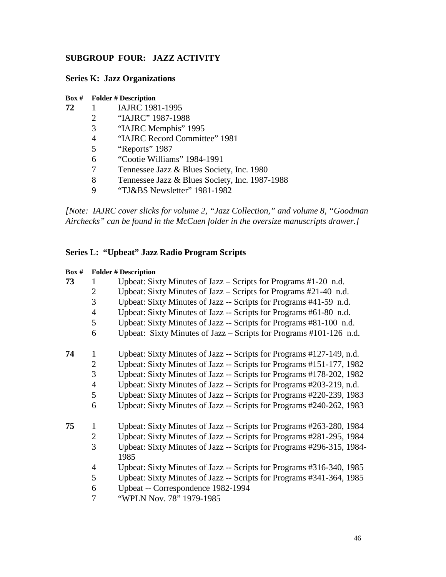# **SUBGROUP FOUR: JAZZ ACTIVITY**

# **Series K: Jazz Organizations**

#### **Box # Folder # Description**

| 72 | IAJRC 1981-1995 |
|----|-----------------|
|    |                 |

- "IAJRC" 1987-1988
- "IAJRC Memphis" 1995
- "IAJRC Record Committee" 1981
- "Reports" 1987
- "Cootie Williams" 1984-1991
- Tennessee Jazz & Blues Society, Inc. 1980
- 8 Tennessee Jazz & Blues Society, Inc. 1987-1988<br>9 TJ&BS Newsletter" 1981-1982
- "TJ&BS Newsletter" 1981-1982

*[Note: IAJRC cover slicks for volume 2, "Jazz Collection," and volume 8, "Goodman Airchecks" can be found in the McCuen folder in the oversize manuscripts drawer.]*

# **Series L: "Upbeat" Jazz Radio Program Scripts**

| Box # | <b>Folder # Description</b> |                                                                               |  |  |
|-------|-----------------------------|-------------------------------------------------------------------------------|--|--|
| 73    | 1                           | Upbeat: Sixty Minutes of Jazz – Scripts for Programs #1-20 n.d.               |  |  |
|       | $\overline{2}$              | Upbeat: Sixty Minutes of Jazz – Scripts for Programs $#21-40$ n.d.            |  |  |
|       | 3                           | Upbeat: Sixty Minutes of Jazz -- Scripts for Programs #41-59 n.d.             |  |  |
|       | 4                           | Upbeat: Sixty Minutes of Jazz -- Scripts for Programs #61-80 n.d.             |  |  |
|       | 5                           | Upbeat: Sixty Minutes of Jazz -- Scripts for Programs #81-100 n.d.            |  |  |
|       | 6                           | Upbeat: Sixty Minutes of Jazz – Scripts for Programs #101-126 n.d.            |  |  |
| 74    | 1                           | Upbeat: Sixty Minutes of Jazz -- Scripts for Programs #127-149, n.d.          |  |  |
|       | $\overline{2}$              | Upbeat: Sixty Minutes of Jazz -- Scripts for Programs #151-177, 1982          |  |  |
|       | 3                           | Upbeat: Sixty Minutes of Jazz -- Scripts for Programs #178-202, 1982          |  |  |
|       | $\overline{4}$              | Upbeat: Sixty Minutes of Jazz -- Scripts for Programs #203-219, n.d.          |  |  |
|       | 5                           | Upbeat: Sixty Minutes of Jazz -- Scripts for Programs #220-239, 1983          |  |  |
|       | 6                           | Upbeat: Sixty Minutes of Jazz -- Scripts for Programs #240-262, 1983          |  |  |
| 75    | $\mathbf{1}$                | Upbeat: Sixty Minutes of Jazz -- Scripts for Programs #263-280, 1984          |  |  |
|       | $\overline{2}$              | Upbeat: Sixty Minutes of Jazz -- Scripts for Programs #281-295, 1984          |  |  |
|       | 3                           | Upbeat: Sixty Minutes of Jazz -- Scripts for Programs #296-315, 1984-<br>1985 |  |  |
|       | $\overline{4}$              | Upbeat: Sixty Minutes of Jazz -- Scripts for Programs #316-340, 1985          |  |  |
|       | 5                           | Upbeat: Sixty Minutes of Jazz -- Scripts for Programs #341-364, 1985          |  |  |
|       | 6                           | Upbeat -- Correspondence 1982-1994                                            |  |  |
|       | 7                           | "WPLN Nov. 78" 1979-1985                                                      |  |  |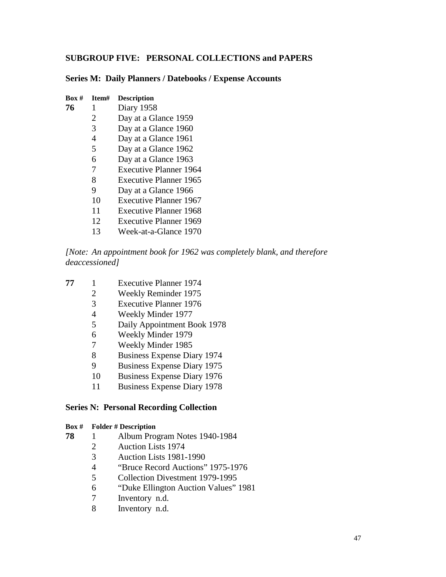# **SUBGROUP FIVE: PERSONAL COLLECTIONS and PAPERS**

#### **Series M: Daily Planners / Datebooks / Expense Accounts**

| Box # | Item# | <b>Description</b>            |
|-------|-------|-------------------------------|
| 76    | 1     | Diary 1958                    |
|       | 2     | Day at a Glance 1959          |
|       | 3     | Day at a Glance 1960          |
|       | 4     | Day at a Glance 1961          |
|       | 5     | Day at a Glance 1962          |
|       | 6     | Day at a Glance 1963          |
|       | 7     | <b>Executive Planner 1964</b> |
|       | 8     | <b>Executive Planner 1965</b> |
|       | 9     | Day at a Glance 1966          |
|       | 10    | <b>Executive Planner 1967</b> |
|       | 11    | <b>Executive Planner 1968</b> |
|       | 12    | Executive Planner 1969        |
|       | 13    | Week-at-a-Glance 1970         |

*[Note: An appointment book for 1962 was completely blank, and therefore deaccessioned]*

- 1 Executive Planner 1974
	- Weekly Reminder 1975
	- 3 Executive Planner 1976<br>4 Weekly Minder 1977
	- Weekly Minder 1977
	- Daily Appointment Book 1978
	- Weekly Minder 1979
	- Weekly Minder 1985
	- Business Expense Diary 1974
	- Business Expense Diary 1975
	- Business Expense Diary 1976
	- Business Expense Diary 1978

#### **Series N: Personal Recording Collection**

- 1 Album Program Notes 1940-1984
	- Auction Lists 1974
	- Auction Lists 1981-1990
	- 4 "Bruce Record Auctions" 1975-1976<br>5 Collection Divestment 1979-1995
	- Collection Divestment 1979-1995
	- "Duke Ellington Auction Values" 1981
	- Inventory n.d.
	- Inventory n.d.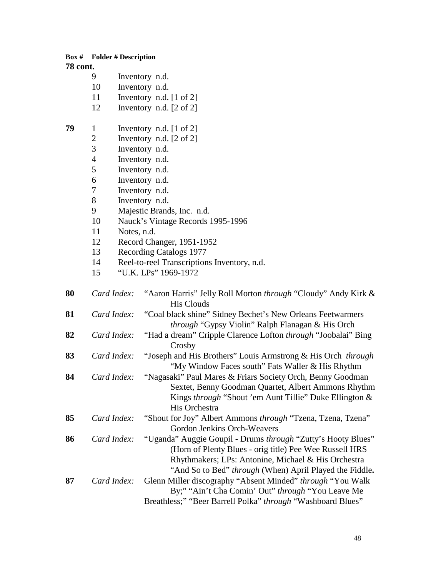|                 | <b>Box #</b> Folder # Description |                                    |                                                                                                                |  |  |
|-----------------|-----------------------------------|------------------------------------|----------------------------------------------------------------------------------------------------------------|--|--|
| <b>78 cont.</b> |                                   |                                    |                                                                                                                |  |  |
|                 | 9                                 |                                    | Inventory n.d.                                                                                                 |  |  |
|                 | 10                                |                                    | Inventory n.d.                                                                                                 |  |  |
|                 | 11                                |                                    | Inventory n.d. [1 of 2]                                                                                        |  |  |
|                 | 12                                |                                    | Inventory n.d. [2 of 2]                                                                                        |  |  |
|                 |                                   |                                    |                                                                                                                |  |  |
| 79              | $\mathbf{1}$                      | Inventory n.d. $[1 \text{ of } 2]$ |                                                                                                                |  |  |
|                 | $\mathbf{2}$                      | Inventory n.d. $[2 \text{ of } 2]$ |                                                                                                                |  |  |
|                 | 3                                 |                                    | Inventory n.d.                                                                                                 |  |  |
|                 | $\overline{4}$                    |                                    | Inventory n.d.                                                                                                 |  |  |
|                 | 5                                 |                                    | Inventory n.d.                                                                                                 |  |  |
|                 | 6                                 |                                    | Inventory n.d.                                                                                                 |  |  |
|                 | 7                                 |                                    | Inventory n.d.                                                                                                 |  |  |
|                 | 8                                 |                                    | Inventory n.d.                                                                                                 |  |  |
|                 | 9                                 |                                    | Majestic Brands, Inc. n.d.                                                                                     |  |  |
|                 | 10                                |                                    | Nauck's Vintage Records 1995-1996                                                                              |  |  |
|                 | 11                                | Notes, n.d.                        |                                                                                                                |  |  |
|                 | 12                                |                                    | Record Changer, 1951-1952                                                                                      |  |  |
|                 | 13                                |                                    | Recording Catalogs 1977                                                                                        |  |  |
|                 | 14                                |                                    | Reel-to-reel Transcriptions Inventory, n.d.                                                                    |  |  |
|                 | 15                                |                                    | "U.K. LPs" 1969-1972                                                                                           |  |  |
| 80              | Card Index:                       |                                    | "Aaron Harris" Jelly Roll Morton <i>through</i> "Cloudy" Andy Kirk &<br><b>His Clouds</b>                      |  |  |
| 81              | Card Index:                       |                                    | "Coal black shine" Sidney Bechet's New Orleans Feetwarmers<br>through "Gypsy Violin" Ralph Flanagan & His Orch |  |  |
| 82              | Card Index:                       |                                    | "Had a dream" Cripple Clarence Lofton through "Joobalai" Bing                                                  |  |  |
|                 |                                   |                                    | Crosby                                                                                                         |  |  |
| 83              | Card Index:                       |                                    | "Joseph and His Brothers" Louis Armstrong & His Orch through                                                   |  |  |
|                 |                                   |                                    | "My Window Faces south" Fats Waller & His Rhythm                                                               |  |  |
| 84              |                                   | Card Index:                        | "Nagasaki" Paul Mares & Friars Society Orch, Benny Goodman                                                     |  |  |
|                 |                                   |                                    | Sextet, Benny Goodman Quartet, Albert Ammons Rhythm                                                            |  |  |
|                 |                                   |                                    | Kings through "Shout 'em Aunt Tillie" Duke Ellington &                                                         |  |  |
|                 |                                   |                                    | His Orchestra                                                                                                  |  |  |
| 85              | Card Index:                       |                                    | "Shout for Joy" Albert Ammons through "Tzena, Tzena, Tzena"                                                    |  |  |
|                 |                                   |                                    | Gordon Jenkins Orch-Weavers                                                                                    |  |  |
| 86              | Card Index:                       |                                    | "Uganda" Auggie Goupil - Drums through "Zutty's Hooty Blues"                                                   |  |  |
|                 |                                   |                                    | (Horn of Plenty Blues - orig title) Pee Wee Russell HRS                                                        |  |  |
|                 |                                   |                                    | Rhythmakers; LPs: Antonine, Michael & His Orchestra                                                            |  |  |
|                 |                                   |                                    | "And So to Bed" <i>through</i> (When) April Played the Fiddle.                                                 |  |  |
| 87              | Card Index:                       |                                    | Glenn Miller discography "Absent Minded" through "You Walk                                                     |  |  |
|                 |                                   |                                    | By;" "Ain't Cha Comin' Out" through "You Leave Me                                                              |  |  |
|                 |                                   |                                    | Breathless;" "Beer Barrell Polka" through "Washboard Blues"                                                    |  |  |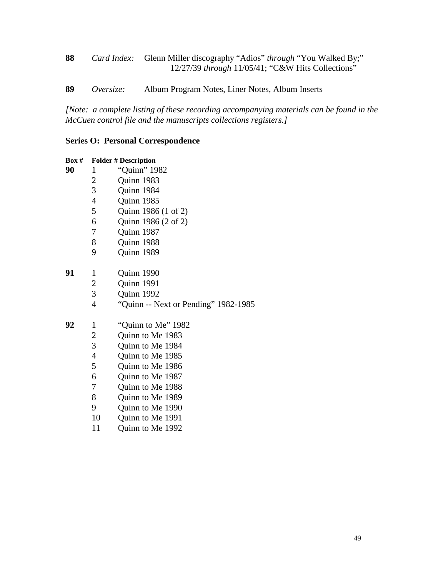*Card Index:* Glenn Miller discography "Adios" *through* "You Walked By;" 12/27/39 *through* 11/05/41; "C&W Hits Collections"

*Oversize:* Album Program Notes, Liner Notes, Album Inserts

*[Note: a complete listing of these recording accompanying materials can be found in the McCuen control file and the manuscripts collections registers.]*

### **Series O: Personal Correspondence**

| Box # | <b>Folder # Description</b> |                                      |
|-------|-----------------------------|--------------------------------------|
| 90    | 1                           | "Quinn" 1982                         |
|       | 2                           | Quinn 1983                           |
|       | 3                           | Quinn 1984                           |
|       | $\overline{4}$              | Quinn 1985                           |
|       | 5                           | Quinn 1986 (1 of 2)                  |
|       | 6                           | Quinn 1986 (2 of 2)                  |
|       | 7                           | Quinn 1987                           |
|       | 8                           | Quinn 1988                           |
|       | 9                           | Quinn 1989                           |
| 91    | 1                           | Quinn 1990                           |
|       | $\overline{c}$              | Quinn 1991                           |
|       | $\overline{3}$              | Quinn 1992                           |
|       | $\overline{\mathcal{A}}$    | "Quinn -- Next or Pending" 1982-1985 |
| 92    | 1                           | "Quinn to Me" 1982                   |
|       | $\overline{c}$              | Quinn to Me 1983                     |
|       | $\overline{3}$              | Quinn to Me 1984                     |
|       | $\overline{\mathcal{A}}$    | Quinn to Me 1985                     |
|       | 5                           | Quinn to Me 1986                     |
|       | 6                           | Quinn to Me 1987                     |
|       | 7                           | Quinn to Me 1988                     |
|       | 8                           | Quinn to Me 1989                     |
|       | 9                           | Quinn to Me 1990                     |
|       | 10                          | Quinn to Me 1991                     |
|       |                             |                                      |

Quinn to Me 1992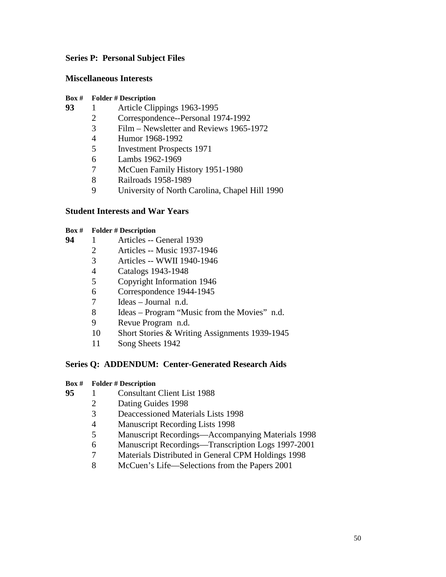# **Series P: Personal Subject Files**

# **Miscellaneous Interests**

### **Box # Folder # Description**

- 93 1 Article Clippings 1963-1995<br>2 Correspondence--Personal 19
	- Correspondence--Personal 1974-1992
	- Film Newsletter and Reviews 1965-1972
	- Humor 1968-1992
	- Investment Prospects 1971
	- Lambs 1962-1969
	- McCuen Family History 1951-1980
	- Railroads 1958-1989
	- University of North Carolina, Chapel Hill 1990

# **Student Interests and War Years**

### **Box # Folder # Description**

- 1 Articles -- General 1939
	- Articles -- Music 1937-1946
	- Articles -- WWII 1940-1946
	- 4 Catalogs 1943-1948<br>5 Copyright Information
	- Copyright Information 1946
	- Correspondence 1944-1945
	- Ideas Journal n.d.
	- Ideas Program "Music from the Movies" n.d.
	- Revue Program n.d.
	- Short Stories & Writing Assignments 1939-1945
	- Song Sheets 1942

# **Series Q: ADDENDUM: Center-Generated Research Aids**

- **Box # Folder # Description**
- 1 Consultant Client List 1988
	- Dating Guides 1998
	- Deaccessioned Materials Lists 1998
	- Manuscript Recording Lists 1998
	- Manuscript Recordings—Accompanying Materials 1998
	- Manuscript Recordings—Transcription Logs 1997-2001
	- Materials Distributed in General CPM Holdings 1998
	- McCuen's Life—Selections from the Papers 2001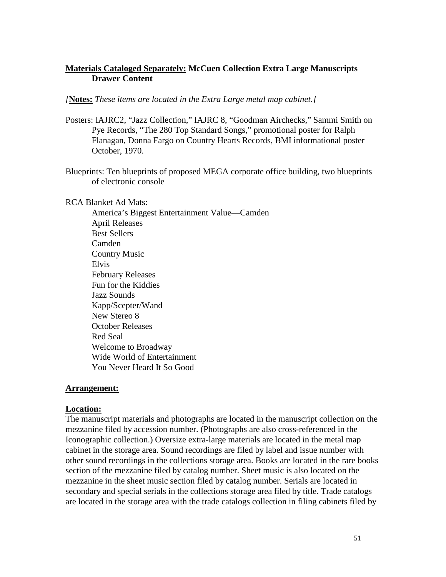# **Materials Cataloged Separately: McCuen Collection Extra Large Manuscripts Drawer Content**

### *[***Notes:** *These items are located in the Extra Large metal map cabinet.]*

- Posters: IAJRC2, "Jazz Collection," IAJRC 8, "Goodman Airchecks," Sammi Smith on Pye Records, "The 280 Top Standard Songs," promotional poster for Ralph Flanagan, Donna Fargo on Country Hearts Records, BMI informational poster October, 1970.
- Blueprints: Ten blueprints of proposed MEGA corporate office building, two blueprints of electronic console

RCA Blanket Ad Mats:

America's Biggest Entertainment Value—Camden April Releases Best Sellers Camden Country Music Elvis February Releases Fun for the Kiddies Jazz Sounds Kapp/Scepter/Wand New Stereo 8 October Releases Red Seal Welcome to Broadway Wide World of Entertainment You Never Heard It So Good

# **Arrangement:**

# **Location:**

The manuscript materials and photographs are located in the manuscript collection on the mezzanine filed by accession number. (Photographs are also cross-referenced in the Iconographic collection.) Oversize extra-large materials are located in the metal map cabinet in the storage area. Sound recordings are filed by label and issue number with other sound recordings in the collections storage area. Books are located in the rare books section of the mezzanine filed by catalog number. Sheet music is also located on the mezzanine in the sheet music section filed by catalog number. Serials are located in secondary and special serials in the collections storage area filed by title. Trade catalogs are located in the storage area with the trade catalogs collection in filing cabinets filed by